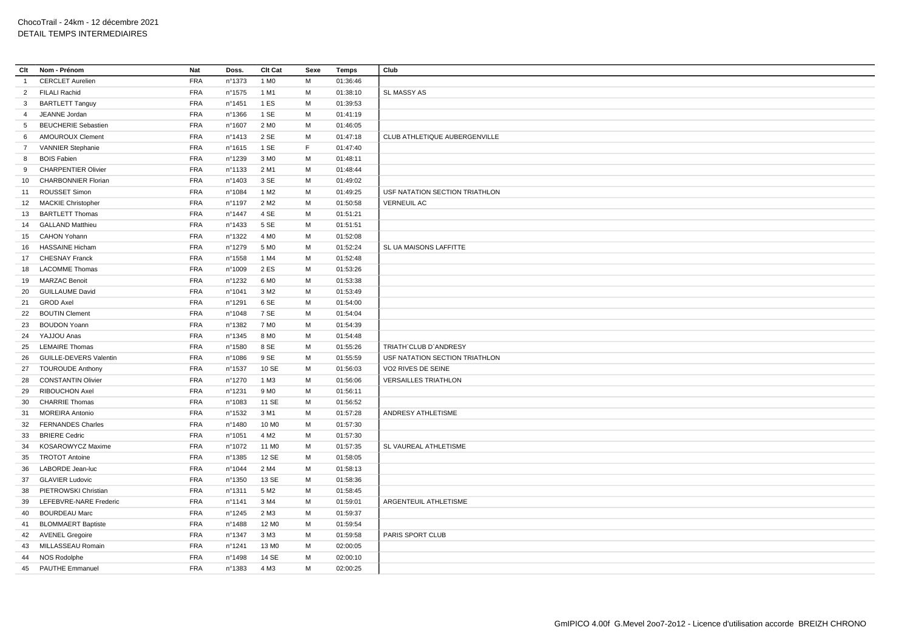| Clt            | Nom - Prénom                  | Nat        | Doss.  | Clt Cat           | Sexe        | Temps    | Club                           |
|----------------|-------------------------------|------------|--------|-------------------|-------------|----------|--------------------------------|
| $\overline{1}$ | <b>CERCLET Aurelien</b>       | <b>FRA</b> | n°1373 | 1 M <sub>0</sub>  | M           | 01:36:46 |                                |
| $\overline{2}$ | <b>FILALI Rachid</b>          | <b>FRA</b> | n°1575 | 1 M1              | M           | 01:38:10 | <b>SL MASSY AS</b>             |
| $\mathbf{3}$   | <b>BARTLETT Tanguy</b>        | <b>FRA</b> | n°1451 | 1 ES              | M           | 01:39:53 |                                |
| $\overline{4}$ | JEANNE Jordan                 | <b>FRA</b> | n°1366 | 1 SE              | M           | 01:41:19 |                                |
| 5              | <b>BEUCHERIE Sebastien</b>    | <b>FRA</b> | n°1607 | 2 M <sub>0</sub>  | M           | 01:46:05 |                                |
| 6              | <b>AMOUROUX Clement</b>       | <b>FRA</b> | n°1413 | 2 SE              | M           | 01:47:18 | CLUB ATHLETIQUE AUBERGENVILLE  |
| 7              | <b>VANNIER Stephanie</b>      | <b>FRA</b> | n°1615 | 1 SE              | $\mathsf F$ | 01:47:40 |                                |
| 8              | <b>BOIS Fabien</b>            | <b>FRA</b> | n°1239 | 3 M <sub>0</sub>  | M           | 01:48:11 |                                |
| 9              | <b>CHARPENTIER Olivier</b>    | <b>FRA</b> | n°1133 | 2 M1              | M           | 01:48:44 |                                |
| 10             | <b>CHARBONNIER Florian</b>    | <b>FRA</b> | n°1403 | 3 SE              | M           | 01:49:02 |                                |
| 11             | ROUSSET Simon                 | <b>FRA</b> | n°1084 | 1 M <sub>2</sub>  | M           | 01:49:25 | USF NATATION SECTION TRIATHLON |
| 12             | <b>MACKIE Christopher</b>     | <b>FRA</b> | n°1197 | 2 M <sub>2</sub>  | M           | 01:50:58 | <b>VERNEUIL AC</b>             |
| 13             | <b>BARTLETT Thomas</b>        | <b>FRA</b> | n°1447 | 4 SE              | M           | 01:51:21 |                                |
| 14             | <b>GALLAND Matthieu</b>       | <b>FRA</b> | n°1433 | 5 SE              | M           | 01:51:51 |                                |
| 15             | <b>CAHON Yohann</b>           | <b>FRA</b> | n°1322 | 4 M <sub>0</sub>  | M           | 01:52:08 |                                |
| 16             | <b>HASSAINE Hicham</b>        | <b>FRA</b> | n°1279 | 5 M <sub>0</sub>  | M           | 01:52:24 | SL UA MAISONS LAFFITTE         |
| 17             | <b>CHESNAY Franck</b>         | <b>FRA</b> | n°1558 | 1 M4              | M           | 01:52:48 |                                |
| 18             | <b>LACOMME Thomas</b>         | FRA        | n°1009 | 2 ES              | M           | 01:53:26 |                                |
| 19             | <b>MARZAC Benoit</b>          | <b>FRA</b> | n°1232 | 6 M <sub>0</sub>  | M           | 01:53:38 |                                |
| 20             | <b>GUILLAUME David</b>        | <b>FRA</b> | n°1041 | 3 M <sub>2</sub>  | M           | 01:53:49 |                                |
| 21             | <b>GROD Axel</b>              | <b>FRA</b> | n°1291 | 6 SE              | M           | 01:54:00 |                                |
| 22             | <b>BOUTIN Clement</b>         | <b>FRA</b> | n°1048 | 7 SE              | M           | 01:54:04 |                                |
| 23             | <b>BOUDON Yoann</b>           | <b>FRA</b> | n°1382 | 7 M <sub>0</sub>  | M           | 01:54:39 |                                |
| 24             | YAJJOU Anas                   | <b>FRA</b> | n°1345 | 8 MO              | M           | 01:54:48 |                                |
| 25             | <b>LEMAIRE Thomas</b>         | <b>FRA</b> | n°1580 | 8 SE              | M           | 01:55:26 | TRIATH'CLUB D'ANDRESY          |
| 26             | <b>GUILLE-DEVERS Valentin</b> | <b>FRA</b> | n°1086 | 9 SE              | M           | 01:55:59 | USF NATATION SECTION TRIATHLON |
| 27             | <b>TOUROUDE Anthony</b>       | <b>FRA</b> | n°1537 | 10 SE             | M           | 01:56:03 | VO2 RIVES DE SEINE             |
| 28             | <b>CONSTANTIN Olivier</b>     | <b>FRA</b> | n°1270 | 1 M3              | M           | 01:56:06 | <b>VERSAILLES TRIATHLON</b>    |
| 29             | <b>RIBOUCHON Axel</b>         | <b>FRA</b> | n°1231 | 9 M <sub>0</sub>  | M           | 01:56:11 |                                |
| 30             | <b>CHARRIE Thomas</b>         | <b>FRA</b> | n°1083 | 11 SE             | M           | 01:56:52 |                                |
| 31             | <b>MOREIRA Antonio</b>        | <b>FRA</b> | n°1532 | 3 M1              | M           | 01:57:28 | ANDRESY ATHLETISME             |
| 32             | <b>FERNANDES Charles</b>      | <b>FRA</b> | n°1480 | 10 M <sub>0</sub> | M           | 01:57:30 |                                |
| 33             | <b>BRIERE</b> Cedric          | <b>FRA</b> | n°1051 | 4 M <sub>2</sub>  | M           | 01:57:30 |                                |
| 34             | KOSAROWYCZ Maxime             | <b>FRA</b> | n°1072 | 11 M <sub>0</sub> | M           | 01:57:35 | SL VAUREAL ATHLETISME          |
| 35             | <b>TROTOT Antoine</b>         | <b>FRA</b> | n°1385 | 12 SE             | M           | 01:58:05 |                                |
| 36             | LABORDE Jean-luc              | <b>FRA</b> | n°1044 | 2 M4              | M           | 01:58:13 |                                |
| 37             | <b>GLAVIER Ludovic</b>        | <b>FRA</b> | n°1350 | 13 SE             | M           | 01:58:36 |                                |
| 38             | PIETROWSKI Christian          | <b>FRA</b> | n°1311 | 5 M <sub>2</sub>  | M           | 01:58:45 |                                |
| 39             | LEFEBVRE-NARE Frederic        | <b>FRA</b> | n°1141 | 3 M4              | M           | 01:59:01 | ARGENTEUIL ATHLETISME          |
| 40             | <b>BOURDEAU Marc</b>          | <b>FRA</b> | n°1245 | 2 M3              | M           | 01:59:37 |                                |
| 41             | <b>BLOMMAERT Baptiste</b>     | <b>FRA</b> | n°1488 | 12 M <sub>0</sub> | M           | 01:59:54 |                                |
| 42             | <b>AVENEL Gregoire</b>        | <b>FRA</b> | n°1347 | 3 M3              | M           | 01:59:58 | PARIS SPORT CLUB               |
| 43             | MILLASSEAU Romain             | <b>FRA</b> | n°1241 | 13 M <sub>0</sub> | M           | 02:00:05 |                                |
| 44             | NOS Rodolphe                  | <b>FRA</b> | n°1498 | 14 SE             | M           | 02:00:10 |                                |
| 45             | <b>PAUTHE Emmanuel</b>        | <b>FRA</b> | n°1383 | 4 M3              | M           | 02:00:25 |                                |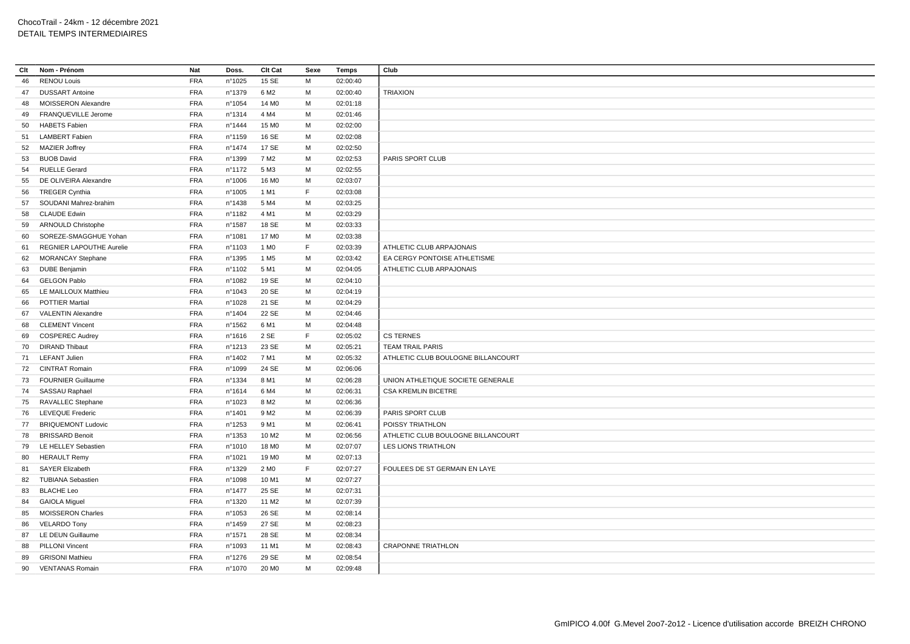| Clt | Nom - Prénom                                     | <b>Nat</b>               | Doss.            | Clt Cat           | Sexe   | <b>Temps</b> | Club                               |
|-----|--------------------------------------------------|--------------------------|------------------|-------------------|--------|--------------|------------------------------------|
| 46  | <b>RENOU Louis</b>                               | <b>FRA</b>               | n°1025           | 15 SE             | M      | 02:00:40     |                                    |
| 47  | <b>DUSSART Antoine</b>                           | <b>FRA</b>               | n°1379           | 6 M <sub>2</sub>  | M      | 02:00:40     | <b>TRIAXION</b>                    |
| 48  | <b>MOISSERON Alexandre</b>                       | <b>FRA</b>               | n°1054           | 14 M <sub>0</sub> | M      | 02:01:18     |                                    |
| 49  | FRANQUEVILLE Jerome                              | <b>FRA</b>               | nº1314           | 4 M4              | M      | 02:01:46     |                                    |
| 50  | <b>HABETS Fabien</b>                             | <b>FRA</b>               | n°1444           | 15 M <sub>0</sub> | М      | 02:02:00     |                                    |
| 51  | <b>LAMBERT Fabien</b>                            | <b>FRA</b>               | n°1159           | 16 SE             | M      | 02:02:08     |                                    |
|     | 52 MAZIER Joffrey                                | <b>FRA</b>               | n°1474           | 17 SE             | M      | 02:02:50     |                                    |
| 53  | <b>BUOB David</b>                                | <b>FRA</b>               | n°1399           | 7 M <sub>2</sub>  | M      | 02:02:53     | PARIS SPORT CLUB                   |
| 54  | <b>RUELLE Gerard</b>                             | <b>FRA</b>               | n°1172           | 5 M3              | м      | 02:02:55     |                                    |
| 55  | DE OLIVEIRA Alexandre                            | <b>FRA</b>               | n°1006           | 16 M <sub>0</sub> | M      | 02:03:07     |                                    |
| 56  | <b>TREGER Cynthia</b>                            | <b>FRA</b>               | n°1005           | 1 M1              | E      | 02:03:08     |                                    |
| 57  | SOUDANI Mahrez-brahim                            | <b>FRA</b>               | n°1438           | 5 M4              | M      | 02:03:25     |                                    |
| 58  | <b>CLAUDE Edwin</b>                              | <b>FRA</b>               | n°1182           | 4 M1              | M      | 02:03:29     |                                    |
| 59  | ARNOULD Christophe                               | <b>FRA</b>               | n°1587           | 18 SE             | M      | 02:03:33     |                                    |
| 60  | SOREZE-SMAGGHUE Yohan                            | <b>FRA</b>               | n°1081           | 17 M <sub>0</sub> | м      | 02:03:38     |                                    |
| 61  | REGNIER LAPOUTHE Aurelie                         | <b>FRA</b>               | n°1103           | 1 M <sub>0</sub>  | F      | 02:03:39     | ATHLETIC CLUB ARPAJONAIS           |
| 62  | <b>MORANCAY Stephane</b>                         | <b>FRA</b>               | n°1395           | 1 M <sub>5</sub>  | M      | 02:03:42     | EA CERGY PONTOISE ATHLETISME       |
| 63  | <b>DUBE Benjamin</b>                             | <b>FRA</b>               | n°1102           | 5 M1              | M      | 02:04:05     | ATHLETIC CLUB ARPAJONAIS           |
| 64  | <b>GELGON Pablo</b>                              | <b>FRA</b>               | n°1082           | 19 SE             | M      | 02:04:10     |                                    |
| 65  | LE MAILLOUX Matthieu                             | <b>FRA</b>               | n°1043           | 20 SE             | M      | 02:04:19     |                                    |
| 66  | <b>POTTIER Martial</b>                           | <b>FRA</b>               | n°1028           | 21 SE             | M      | 02:04:29     |                                    |
| 67  | <b>VALENTIN Alexandre</b>                        | <b>FRA</b>               | n°1404           | 22 SE             | M      | 02:04:46     |                                    |
| 68  | <b>CLEMENT Vincent</b>                           | <b>FRA</b>               | n°1562           | 6 M1              | M      | 02:04:48     |                                    |
| 69  | <b>COSPEREC Audrey</b>                           | <b>FRA</b>               | n°1616           | 2 SE              | F      | 02:05:02     | <b>CS TERNES</b>                   |
|     | 70 DIRAND Thibaut                                | <b>FRA</b>               | nº1213           | 23 SE             | M      | 02:05:21     | <b>TEAM TRAIL PARIS</b>            |
| 71  | <b>LEFANT Julien</b>                             | <b>FRA</b>               | n°1402           | 7 M1              | M      | 02:05:32     | ATHLETIC CLUB BOULOGNE BILLANCOURT |
| 72  | <b>CINTRAT Romain</b>                            | <b>FRA</b>               | n°1099           | 24 SE             | M      | 02:06:06     |                                    |
|     | 73 FOURNIER Guillaume                            | <b>FRA</b>               | n°1334           | 8 M1              | M      | 02:06:28     | UNION ATHLETIQUE SOCIETE GENERALE  |
|     | 74 SASSAU Raphael                                | <b>FRA</b>               | $n^{\circ}1614$  | 6 M4              | M      | 02:06:31     | <b>CSA KREMLIN BICETRE</b>         |
| 75  | RAVALLEC Stephane                                | <b>FRA</b>               | n°1023           | 8 M <sub>2</sub>  | M      | 02:06:36     |                                    |
| 76  | <b>LEVEQUE Frederic</b>                          | <b>FRA</b>               | n°1401           | 9 M <sub>2</sub>  | M      | 02:06:39     | PARIS SPORT CLUB                   |
| 77  | <b>BRIQUEMONT Ludovic</b>                        | <b>FRA</b>               | $n^{\circ}$ 1253 | 9 M1              | M      | 02:06:41     | POISSY TRIATHLON                   |
| 78  | <b>BRISSARD Benoit</b>                           | <b>FRA</b>               | nº1353           | 10 M <sub>2</sub> | M      | 02:06:56     | ATHLETIC CLUB BOULOGNE BILLANCOURT |
| 79  | LE HELLEY Sebastien                              | <b>FRA</b>               | n°1010           | 18 M <sub>0</sub> | M      | 02:07:07     | LES LIONS TRIATHLON                |
| 80  | <b>HERAULT Remy</b>                              | <b>FRA</b>               | n°1021           | 19 M <sub>0</sub> | M      | 02:07:13     |                                    |
| 81  | <b>SAYER Elizabeth</b>                           | <b>FRA</b>               | n°1329           | 2 M <sub>0</sub>  | F.     | 02:07:27     | FOULEES DE ST GERMAIN EN LAYE      |
| 82  | <b>TUBIANA Sebastien</b>                         | <b>FRA</b>               | n°1098           | 10 M1             | M      | 02:07:27     |                                    |
| 83  | <b>BLACHE Leo</b>                                | <b>FRA</b>               | n°1477           | 25 SE             | M      | 02:07:31     |                                    |
|     |                                                  | <b>FRA</b>               | nº1320           | 11 M <sub>2</sub> | M      | 02:07:39     |                                    |
| 84  | <b>GAIOLA Miguel</b><br><b>MOISSERON Charles</b> | <b>FRA</b>               |                  | 26 SE             | м      |              |                                    |
| 85  |                                                  |                          | n°1053           | 27 SE             | M      | 02:08:14     |                                    |
| 86  | <b>VELARDO Tony</b>                              | <b>FRA</b>               | n°1459           |                   |        | 02:08:23     |                                    |
| 87  | LE DEUN Guillaume                                | <b>FRA</b>               | n°1571           | 28 SE             | м<br>M | 02:08:34     | <b>CRAPONNE TRIATHLON</b>          |
| 88  | <b>PILLONI Vincent</b>                           | <b>FRA</b><br><b>FRA</b> | n°1093           | 11 M1<br>29 SE    | M      | 02:08:43     |                                    |
| 89  | <b>GRISONI Mathieu</b>                           |                          | n°1276           |                   |        | 02:08:54     |                                    |
| 90  | <b>VENTANAS Romain</b>                           | <b>FRA</b>               | nº1070           | 20 M <sub>0</sub> | M      | 02:09:48     |                                    |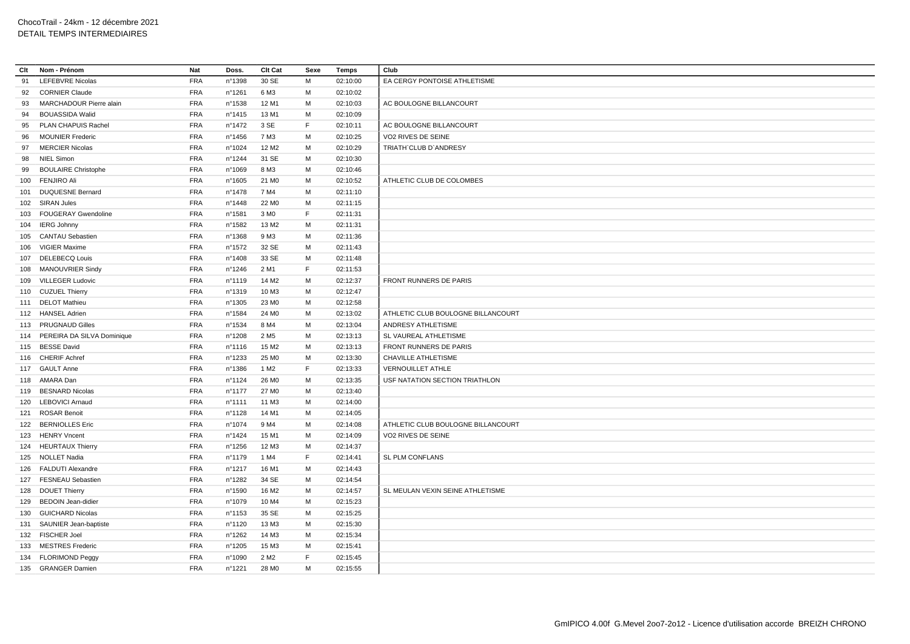| Clt | Nom - Prénom                   | <b>Nat</b> | Doss.            | Clt Cat           | Sexe | <b>Temps</b> | Club                               |
|-----|--------------------------------|------------|------------------|-------------------|------|--------------|------------------------------------|
| 91  | <b>LEFEBVRE Nicolas</b>        | <b>FRA</b> | n°1398           | 30 SE             | М    | 02:10:00     | EA CERGY PONTOISE ATHLETISME       |
| 92  | <b>CORNIER Claude</b>          | <b>FRA</b> | n°1261           | 6 M3              | M    | 02:10:02     |                                    |
| 93  | MARCHADOUR Pierre alain        | <b>FRA</b> | n°1538           | 12 M1             | М    | 02:10:03     | AC BOULOGNE BILLANCOURT            |
| 94  | <b>BOUASSIDA Walid</b>         | <b>FRA</b> | n°1415           | 13 M1             | M    | 02:10:09     |                                    |
| 95  | PLAN CHAPUIS Rachel            | <b>FRA</b> | $n^{\circ}$ 1472 | 3 SE              | F.   | 02:10:11     | AC BOULOGNE BILLANCOURT            |
| 96  | <b>MOUNIER Frederic</b>        | <b>FRA</b> | $n^{\circ}$ 1456 | 7 M3              | м    | 02:10:25     | VO2 RIVES DE SEINE                 |
| 97  | <b>MERCIER Nicolas</b>         | <b>FRA</b> | nº1024           | 12 M <sub>2</sub> | M    | 02:10:29     | <b>TRIATH CLUB D'ANDRESY</b>       |
| 98  | <b>NIEL Simon</b>              | <b>FRA</b> | nº1244           | 31 SE             | M    | 02:10:30     |                                    |
| 99  | <b>BOULAIRE Christophe</b>     | <b>FRA</b> | n°1069           | 8 M3              | M    | 02:10:46     |                                    |
|     | 100 FENJIRO Ali                | <b>FRA</b> | n°1605           | 21 M <sub>0</sub> | м    | 02:10:52     | ATHLETIC CLUB DE COLOMBES          |
|     | 101 DUQUESNE Bernard           | <b>FRA</b> | n°1478           | 7 M4              | M    | 02:11:10     |                                    |
|     | 102 SIRAN Jules                | <b>FRA</b> | $n^{\circ}$ 1448 | 22 M <sub>0</sub> | М    | 02:11:15     |                                    |
|     | 103 FOUGERAY Gwendoline        | <b>FRA</b> | n°1581           | 3 M <sub>0</sub>  | F.   | 02:11:31     |                                    |
|     | 104 IERG Johnny                | <b>FRA</b> | nº1582           | 13 M <sub>2</sub> | М    | 02:11:31     |                                    |
|     | 105 CANTAU Sebastien           | <b>FRA</b> | n°1368           | 9 M3              | м    | 02:11:36     |                                    |
|     | 106 VIGIER Maxime              | <b>FRA</b> | n°1572           | 32 SE             | M    | 02:11:43     |                                    |
|     | 107 DELEBECQ Louis             | <b>FRA</b> | n°1408           | 33 SE             | M    | 02:11:48     |                                    |
|     | 108 MANOUVRIER Sindy           | <b>FRA</b> | $n^{\circ}$ 1246 | 2 M1              | F.   | 02:11:53     |                                    |
|     | 109 VILLEGER Ludovic           | <b>FRA</b> | n°1119           | 14 M <sub>2</sub> | М    | 02:12:37     | FRONT RUNNERS DE PARIS             |
|     | 110 CUZUEL Thierry             | <b>FRA</b> | n°1319           | 10 M3             | M    | 02:12:47     |                                    |
|     | 111 DELOT Mathieu              | <b>FRA</b> | n°1305           | 23 M <sub>0</sub> | M    | 02:12:58     |                                    |
|     | 112 HANSEL Adrien              | <b>FRA</b> | n°1584           | 24 M <sub>0</sub> | М    | 02:13:02     | ATHLETIC CLUB BOULOGNE BILLANCOURT |
|     | 113 PRUGNAUD Gilles            | <b>FRA</b> | nº1534           | 8 M4              | M    | 02:13:04     | ANDRESY ATHLETISME                 |
|     | 114 PEREIRA DA SILVA Dominique | <b>FRA</b> | n°1208           | 2 M <sub>5</sub>  | M    | 02:13:13     | SL VAUREAL ATHLETISME              |
|     | 115 BESSE David                | <b>FRA</b> | $n^{\circ}$ 1116 | 15 M2             | M    | 02:13:13     | FRONT RUNNERS DE PARIS             |
|     | 116 CHERIF Achref              | <b>FRA</b> | n°1233           | 25 M <sub>0</sub> | M    | 02:13:30     | CHAVILLE ATHLETISME                |
|     | 117 GAULT Anne                 | <b>FRA</b> | nº1386           | 1 M <sub>2</sub>  | F.   | 02:13:33     | <b>VERNOUILLET ATHLE</b>           |
|     | 118 AMARA Dan                  | <b>FRA</b> | nº1124           | 26 M <sub>0</sub> | М    | 02:13:35     | USF NATATION SECTION TRIATHLON     |
|     | 119 BESNARD Nicolas            | <b>FRA</b> | n°1177           | 27 M <sub>0</sub> | м    | 02:13:40     |                                    |
|     | 120 LEBOVICI Arnaud            | <b>FRA</b> | n°1111           | 11 M3             | M    | 02:14:00     |                                    |
|     | 121 ROSAR Benoit               | <b>FRA</b> | $n^{\circ}$ 1128 | 14 M1             | M    | 02:14:05     |                                    |
|     | 122 BERNIOLLES Eric            | <b>FRA</b> | nº1074           | 9 M4              | M    | 02:14:08     | ATHLETIC CLUB BOULOGNE BILLANCOURT |
|     | 123 HENRY Vncent               | <b>FRA</b> | nº1424           | 15 M1             | м    | 02:14:09     | VO2 RIVES DE SEINE                 |
|     | 124 HEURTAUX Thierry           | <b>FRA</b> | n°1256           | 12 M3             | м    | 02:14:37     |                                    |
|     | 125 NOLLET Nadia               | <b>FRA</b> | nº1179           | 1 M4              | F.   | 02:14:41     | SL PLM CONFLANS                    |
|     | 126 FALDUTI Alexandre          | <b>FRA</b> | n°1217           | 16 M1             | M    | 02:14:43     |                                    |
|     | 127 FESNEAU Sebastien          | <b>FRA</b> | nº1282           | 34 SE             | M    | 02:14:54     |                                    |
|     | 128 DOUET Thierry              | <b>FRA</b> | n°1590           | 16 M <sub>2</sub> | м    | 02:14:57     | SL MEULAN VEXIN SEINE ATHLETISME   |
|     | 129 BEDOIN Jean-didier         | <b>FRA</b> | nº1079           | 10 M4             | M    | 02:15:23     |                                    |
|     | 130 GUICHARD Nicolas           | <b>FRA</b> | nº1153           | 35 SE             | M    | 02:15:25     |                                    |
|     | 131 SAUNIER Jean-baptiste      | <b>FRA</b> | n°1120           | 13 M3             | M    | 02:15:30     |                                    |
|     | 132 FISCHER Joel               | <b>FRA</b> | nº1262           | 14 M3             | м    | 02:15:34     |                                    |
|     | 133 MESTRES Frederic           | <b>FRA</b> | n°1205           | 15 M3             | м    | 02:15:41     |                                    |
|     | 134 FLORIMOND Peggy            | <b>FRA</b> | nº1090           | 2 M <sub>2</sub>  | F    | 02:15:45     |                                    |
|     | 135 GRANGER Damien             | <b>FRA</b> | n°1221           | 28 M <sub>0</sub> | M    | 02:15:55     |                                    |
|     |                                |            |                  |                   |      |              |                                    |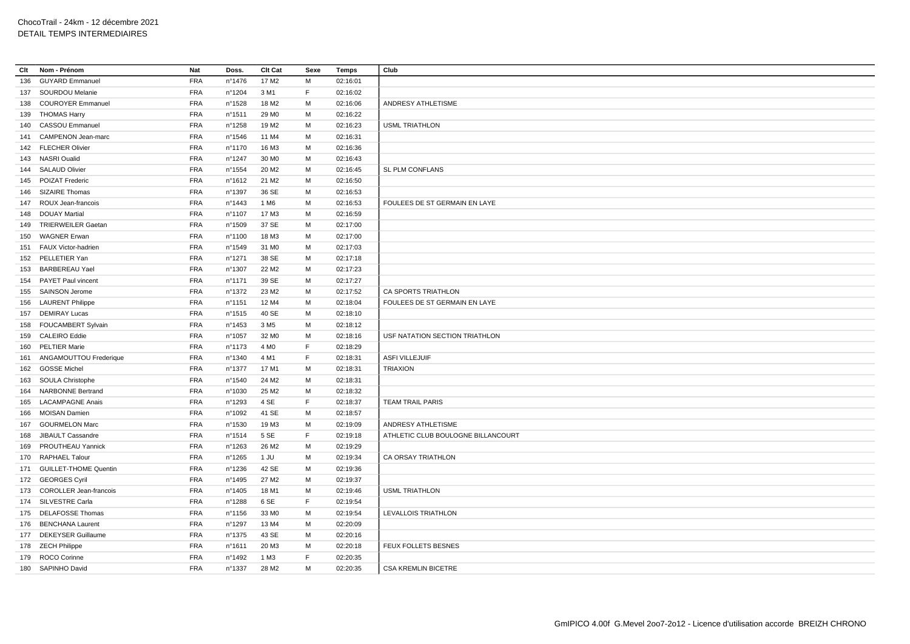| Clt | Nom - Prénom               | <b>Nat</b> | Doss.            | Clt Cat           | Sexe | <b>Temps</b> | Club                               |
|-----|----------------------------|------------|------------------|-------------------|------|--------------|------------------------------------|
| 136 | <b>GUYARD Emmanuel</b>     | <b>FRA</b> | nº1476           | 17 M <sub>2</sub> | м    | 02:16:01     |                                    |
|     | 137 SOURDOU Melanie        | <b>FRA</b> | n°1204           | 3 M1              | F.   | 02:16:02     |                                    |
|     | 138 COUROYER Emmanuel      | <b>FRA</b> | n°1528           | 18 M <sub>2</sub> | M    | 02:16:06     | ANDRESY ATHLETISME                 |
|     | 139 THOMAS Harry           | <b>FRA</b> | n°1511           | 29 MO             | М    | 02:16:22     |                                    |
|     | 140 CASSOU Emmanuel        | <b>FRA</b> | n°1258           | 19 M <sub>2</sub> | М    | 02:16:23     | <b>USML TRIATHLON</b>              |
| 141 | CAMPENON Jean-marc         | <b>FRA</b> | $n^{\circ}$ 1546 | 11 M4             | М    | 02:16:31     |                                    |
|     | 142 FLECHER Olivier        | <b>FRA</b> | n°1170           | 16 M3             | M    | 02:16:36     |                                    |
|     | 143 NASRI Oualid           | <b>FRA</b> | n°1247           | 30 MO             | М    | 02:16:43     |                                    |
|     | 144 SALAUD Olivier         | <b>FRA</b> | n°1554           | 20 M <sub>2</sub> | M    | 02:16:45     | SL PLM CONFLANS                    |
|     | 145 POIZAT Frederic        | <b>FRA</b> | $n^{\circ}$ 1612 | 21 M <sub>2</sub> | М    | 02:16:50     |                                    |
|     | 146 SIZAIRE Thomas         | <b>FRA</b> | n°1397           | 36 SE             | M    | 02:16:53     |                                    |
| 147 | ROUX Jean-francois         | <b>FRA</b> | n°1443           | 1 M <sub>6</sub>  | М    | 02:16:53     | FOULEES DE ST GERMAIN EN LAYE      |
| 148 | <b>DOUAY Martial</b>       | <b>FRA</b> | nº1107           | 17 M3             | М    | 02:16:59     |                                    |
|     | 149 TRIERWEILER Gaetan     | <b>FRA</b> | n°1509           | 37 SE             | M    | 02:17:00     |                                    |
| 150 | <b>WAGNER Erwan</b>        | <b>FRA</b> | nº1100           | 18 M3             | М    | 02:17:00     |                                    |
|     | 151 FAUX Victor-hadrien    | <b>FRA</b> | n°1549           | 31 M <sub>0</sub> | M    | 02:17:03     |                                    |
|     | 152 PELLETIER Yan          | <b>FRA</b> | n°1271           | 38 SE             | М    | 02:17:18     |                                    |
|     | 153 BARBEREAU Yael         | <b>FRA</b> | n°1307           | 22 M <sub>2</sub> | M    | 02:17:23     |                                    |
| 154 | PAYET Paul vincent         | <b>FRA</b> | n°1171           | 39 SE             | м    | 02:17:27     |                                    |
|     | 155 SAINSON Jerome         | <b>FRA</b> | n°1372           | 23 M <sub>2</sub> | M    | 02:17:52     | CA SPORTS TRIATHLON                |
|     | 156 LAURENT Philippe       | <b>FRA</b> | n°1151           | 12 M4             | М    | 02:18:04     | FOULEES DE ST GERMAIN EN LAYE      |
|     | 157 DEMIRAY Lucas          | <b>FRA</b> | n°1515           | 40 SE             | M    | 02:18:10     |                                    |
|     | 158 FOUCAMBERT Sylvain     | <b>FRA</b> | $n^{\circ}$ 1453 | 3 M <sub>5</sub>  | М    | 02:18:12     |                                    |
|     | 159 CALEIRO Eddie          | <b>FRA</b> | n°1057           | 32 M <sub>0</sub> | M    | 02:18:16     | USF NATATION SECTION TRIATHLON     |
|     | 160 PELTIER Marie          | <b>FRA</b> | $n^{\circ}$ 1173 | 4 M <sub>0</sub>  | F    | 02:18:29     |                                    |
|     | 161 ANGAMOUTTOU Frederique | <b>FRA</b> | n°1340           | 4 M1              | F.   | 02:18:31     | <b>ASFI VILLEJUIF</b>              |
|     | 162 GOSSE Michel           | <b>FRA</b> | $n^{\circ}$ 1377 | 17 M1             | M    | 02:18:31     | <b>TRIAXION</b>                    |
|     | 163 SOULA Christophe       | <b>FRA</b> | $n^{\circ}$ 1540 | 24 M <sub>2</sub> | M    | 02:18:31     |                                    |
| 164 | <b>NARBONNE Bertrand</b>   | <b>FRA</b> | n°1030           | 25 M2             | M    | 02:18:32     |                                    |
| 165 | <b>LACAMPAGNE Anais</b>    | <b>FRA</b> | n°1293           | 4 SE              | F.   | 02:18:37     | <b>TEAM TRAIL PARIS</b>            |
| 166 | MOISAN Damien              | <b>FRA</b> | n°1092           | 41 SE             | M    | 02:18:57     |                                    |
| 167 | <b>GOURMELON Marc</b>      | <b>FRA</b> | nº1530           | 19 M3             | М    | 02:19:09     | ANDRESY ATHLETISME                 |
| 168 | JIBAULT Cassandre          | <b>FRA</b> | n°1514           | 5 SE              | F    | 02:19:18     | ATHLETIC CLUB BOULOGNE BILLANCOURT |
| 169 | <b>PROUTHEAU Yannick</b>   | <b>FRA</b> | n°1263           | 26 M <sub>2</sub> | M    | 02:19:29     |                                    |
|     | 170 RAPHAEL Talour         | <b>FRA</b> | n°1265           | $1$ JU            | M    | 02:19:34     | <b>CA ORSAY TRIATHLON</b>          |
|     | 171 GUILLET-THOME Quentin  | <b>FRA</b> | n°1236           | 42 SE             | М    | 02:19:36     |                                    |
|     | 172 GEORGES Cyril          | <b>FRA</b> | nº1495           | 27 M2             | M    | 02:19:37     |                                    |
|     | 173 COROLLER Jean-francois | <b>FRA</b> | $n^{\circ}$ 1405 | 18 M1             | м    | 02:19:46     | <b>USML TRIATHLON</b>              |
|     | 174 SILVESTRE Carla        | <b>FRA</b> | n°1288           | 6 SE              | F.   | 02:19:54     |                                    |
|     | 175 DELAFOSSE Thomas       | <b>FRA</b> | $n^{\circ}$ 1156 | 33 MO             | М    | 02:19:54     | LEVALLOIS TRIATHLON                |
|     | 176 BENCHANA Laurent       | <b>FRA</b> | n°1297           | 13 M4             | М    | 02:20:09     |                                    |
|     | 177 DEKEYSER Guillaume     | <b>FRA</b> | $n^{\circ}$ 1375 | 43 SE             | M    | 02:20:16     |                                    |
|     | 178 ZECH Philippe          | <b>FRA</b> | n°1611           | 20 M3             | M    | 02:20:18     | FEUX FOLLETS BESNES                |
|     | 179 ROCO Corinne           | <b>FRA</b> | n°1492           | 1 M3              | F    | 02:20:35     |                                    |
|     | 180 SAPINHO David          | <b>FRA</b> | nº1337           | 28 M2             | М    | 02:20:35     | <b>CSA KREMLIN BICETRE</b>         |
|     |                            |            |                  |                   |      |              |                                    |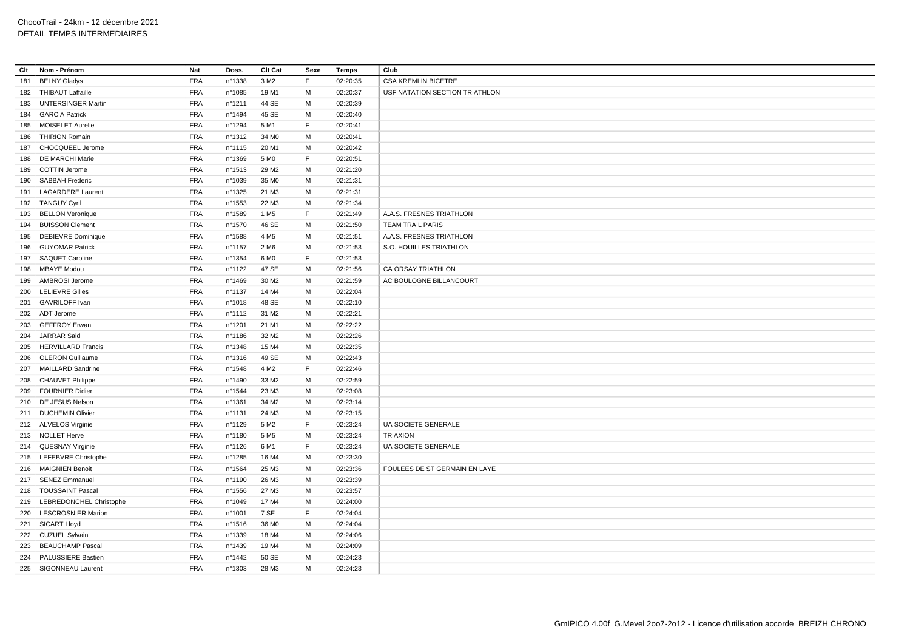| Clt | Nom - Prénom                | Nat        | Doss.            | Clt Cat           | Sexe | Temps    | Club                           |
|-----|-----------------------------|------------|------------------|-------------------|------|----------|--------------------------------|
| 181 | <b>BELNY Gladys</b>         | <b>FRA</b> | n°1338           | 3 M <sub>2</sub>  | F    | 02:20:35 | <b>CSA KREMLIN BICETRE</b>     |
|     | 182 THIBAUT Laffaille       | <b>FRA</b> | n°1085           | 19 M1             | М    | 02:20:37 | USF NATATION SECTION TRIATHLON |
| 183 | <b>UNTERSINGER Martin</b>   | <b>FRA</b> | n°1211           | 44 SE             | M    | 02:20:39 |                                |
| 184 | <b>GARCIA Patrick</b>       | <b>FRA</b> | n°1494           | 45 SE             | М    | 02:20:40 |                                |
|     | 185 MOISELET Aurelie        | <b>FRA</b> | nº1294           | 5 M1              | F    | 02:20:41 |                                |
| 186 | <b>THIRION Romain</b>       | <b>FRA</b> | n°1312           | 34 M <sub>0</sub> | М    | 02:20:41 |                                |
|     | 187 CHOCQUEEL Jerome        | <b>FRA</b> | n°1115           | 20 M1             | M    | 02:20:42 |                                |
| 188 | DE MARCHI Marie             | <b>FRA</b> | n°1369           | 5 MO              | F    | 02:20:51 |                                |
|     | 189 COTTIN Jerome           | <b>FRA</b> | $n^{\circ}$ 1513 | 29 M <sub>2</sub> | M    | 02:21:20 |                                |
|     | 190 SABBAH Frederic         | <b>FRA</b> | n°1039           | 35 MO             | M    | 02:21:31 |                                |
| 191 | <b>LAGARDERE Laurent</b>    | <b>FRA</b> | nº1325           | 21 M3             | M    | 02:21:31 |                                |
|     | 192 TANGUY Cyril            | <b>FRA</b> | n°1553           | 22 M3             | М    | 02:21:34 |                                |
|     | 193 BELLON Veronique        | <b>FRA</b> | n°1589           | 1 M <sub>5</sub>  | F.   | 02:21:49 | A.A.S. FRESNES TRIATHLON       |
|     | 194 BUISSON Clement         | <b>FRA</b> | nº1570           | 46 SE             | M    | 02:21:50 | <b>TEAM TRAIL PARIS</b>        |
|     | 195 DEBIEVRE Dominique      | <b>FRA</b> | n°1588           | 4 M <sub>5</sub>  | м    | 02:21:51 | A.A.S. FRESNES TRIATHLON       |
|     | 196 GUYOMAR Patrick         | <b>FRA</b> | n°1157           | 2 M <sub>6</sub>  | M    | 02:21:53 | S.O. HOUILLES TRIATHLON        |
|     | 197 SAQUET Caroline         | <b>FRA</b> | n°1354           | 6 MO              | F    | 02:21:53 |                                |
|     | 198 MBAYE Modou             | <b>FRA</b> | $n^{\circ}$ 1122 | 47 SE             | M    | 02:21:56 | CA ORSAY TRIATHLON             |
| 199 | AMBROSI Jerome              | <b>FRA</b> | n°1469           | 30 M <sub>2</sub> | М    | 02:21:59 | AC BOULOGNE BILLANCOURT        |
|     | 200 LELIEVRE Gilles         | <b>FRA</b> | n°1137           | 14 M4             | М    | 02:22:04 |                                |
|     | 201 GAVRILOFF Ivan          | <b>FRA</b> | n°1018           | 48 SE             | M    | 02:22:10 |                                |
|     | 202 ADT Jerome              | <b>FRA</b> | n°1112           | 31 M2             | M    | 02:22:21 |                                |
|     | 203 GEFFROY Erwan           | <b>FRA</b> | n°1201           | 21 M1             | M    | 02:22:22 |                                |
| 204 | JARRAR Said                 | <b>FRA</b> | n°1186           | 32 M2             | M    | 02:22:26 |                                |
|     | 205 HERVILLARD Francis      | <b>FRA</b> | nº1348           | 15 M4             | M    | 02:22:35 |                                |
| 206 | <b>OLERON Guillaume</b>     | <b>FRA</b> | $n^{\circ}$ 1316 | 49 SE             | М    | 02:22:43 |                                |
|     | 207 MAILLARD Sandrine       | <b>FRA</b> | $n^{\circ}$ 1548 | 4 M <sub>2</sub>  | F    | 02:22:46 |                                |
| 208 | <b>CHAUVET Philippe</b>     | <b>FRA</b> | n°1490           | 33 M2             | М    | 02:22:59 |                                |
|     | 209 FOURNIER Didier         | <b>FRA</b> | nº1544           | 23 M3             | M    | 02:23:08 |                                |
|     | 210 DE JESUS Nelson         | <b>FRA</b> | nº1361           | 34 M2             | М    | 02:23:14 |                                |
|     | 211 DUCHEMIN Olivier        | <b>FRA</b> | n°1131           | 24 M3             | M    | 02:23:15 |                                |
|     | 212 ALVELOS Virginie        | <b>FRA</b> | n°1129           | 5 M <sub>2</sub>  | F    | 02:23:24 | UA SOCIETE GENERALE            |
|     | 213 NOLLET Herve            | <b>FRA</b> | n°1180           | 5 M <sub>5</sub>  | M    | 02:23:24 | <b>TRIAXION</b>                |
|     | 214 QUESNAY Virginie        | <b>FRA</b> | n°1126           | 6 M1              | F    | 02:23:24 | UA SOCIETE GENERALE            |
|     | 215 LEFEBVRE Christophe     | <b>FRA</b> | nº1285           | 16 M4             | М    | 02:23:30 |                                |
|     | 216 MAIGNIEN Benoit         | <b>FRA</b> | n°1564           | 25 M3             | M    | 02:23:36 | FOULEES DE ST GERMAIN EN LAYE  |
| 217 | <b>SENEZ Emmanuel</b>       | <b>FRA</b> | nº1190           | 26 M3             | М    | 02:23:39 |                                |
|     | 218 TOUSSAINT Pascal        | FRA        | $n^{\circ}$ 1556 | 27 M3             | M    | 02:23:57 |                                |
|     | 219 LEBREDONCHEL Christophe | <b>FRA</b> | n°1049           | 17 M4             | М    | 02:24:00 |                                |
|     | 220 LESCROSNIER Marion      | <b>FRA</b> | n°1001           | 7 SE              | F    | 02:24:04 |                                |
|     | 221 SICART Lloyd            | <b>FRA</b> | $n^{\circ}$ 1516 | 36 M <sub>0</sub> | M    | 02:24:04 |                                |
|     | 222 CUZUEL Sylvain          | <b>FRA</b> | nº1339           | 18 M4             | M    | 02:24:06 |                                |
|     | 223 BEAUCHAMP Pascal        | <b>FRA</b> | n°1439           | 19 M4             | M    | 02:24:09 |                                |
|     | <b>PALUSSIERE Bastien</b>   | <b>FRA</b> |                  | 50 SE             | M    | 02:24:23 |                                |
| 224 |                             | <b>FRA</b> | n°1442           |                   |      |          |                                |
|     | 225 SIGONNEAU Laurent       |            | $n^{\circ}$ 1303 | 28 M3             | М    | 02:24:23 |                                |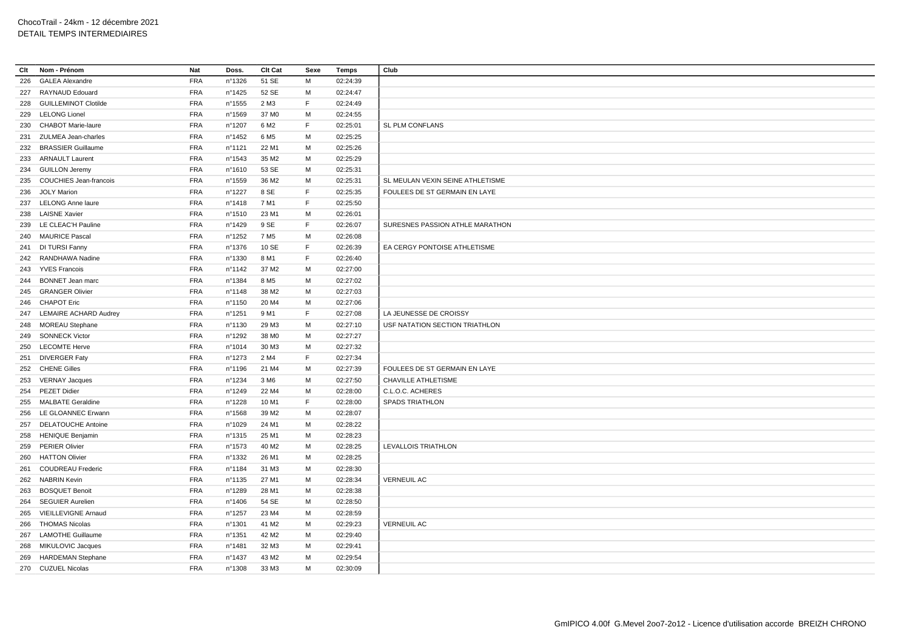| Clt | Nom - Prénom                 | Nat        | Doss.            | Clt Cat           | Sexe | Temps    | Club                             |
|-----|------------------------------|------------|------------------|-------------------|------|----------|----------------------------------|
| 226 | <b>GALEA Alexandre</b>       | <b>FRA</b> | n°1326           | 51 SE             | м    | 02:24:39 |                                  |
| 227 | RAYNAUD Edouard              | <b>FRA</b> | n°1425           | 52 SE             | М    | 02:24:47 |                                  |
| 228 | <b>GUILLEMINOT Clotilde</b>  | <b>FRA</b> | n°1555           | 2 M3              | F    | 02:24:49 |                                  |
|     | 229 LELONG Lionel            | <b>FRA</b> | n°1569           | 37 MO             | М    | 02:24:55 |                                  |
| 230 | <b>CHABOT Marie-laure</b>    | <b>FRA</b> | n°1207           | 6 M2              | F    | 02:25:01 | <b>SL PLM CONFLANS</b>           |
| 231 | ZULMEA Jean-charles          | <b>FRA</b> | $n^{\circ}$ 1452 | 6 M <sub>5</sub>  | М    | 02:25:25 |                                  |
| 232 | <b>BRASSIER Guillaume</b>    | <b>FRA</b> | n°1121           | 22 M1             | M    | 02:25:26 |                                  |
| 233 | <b>ARNAULT Laurent</b>       | <b>FRA</b> | $n^{\circ}$ 1543 | 35 M2             | М    | 02:25:29 |                                  |
|     | 234 GUILLON Jeremy           | <b>FRA</b> | n°1610           | 53 SE             | м    | 02:25:31 |                                  |
|     | 235 COUCHIES Jean-francois   | <b>FRA</b> | $n^{\circ}$ 1559 | 36 M2             | M    | 02:25:31 | SL MEULAN VEXIN SEINE ATHLETISME |
| 236 | <b>JOLY Marion</b>           | <b>FRA</b> | n°1227           | 8 SE              | F    | 02:25:35 | FOULEES DE ST GERMAIN EN LAYE    |
|     | 237 LELONG Anne laure        | <b>FRA</b> | n°1418           | 7 M1              | F    | 02:25:50 |                                  |
| 238 | <b>LAISNE Xavier</b>         | <b>FRA</b> | n°1510           | 23 M1             | M    | 02:26:01 |                                  |
| 239 | LE CLEAC'H Pauline           | <b>FRA</b> | n°1429           | 9 SE              | F    | 02:26:07 | SURESNES PASSION ATHLE MARATHON  |
|     | 240 MAURICE Pascal           | <b>FRA</b> | n°1252           | 7 M <sub>5</sub>  | М    | 02:26:08 |                                  |
|     | 241 DI TURSI Fanny           | <b>FRA</b> | $n^{\circ}$ 1376 | 10 SE             | F    | 02:26:39 | EA CERGY PONTOISE ATHLETISME     |
|     | 242 RANDHAWA Nadine          | <b>FRA</b> | nº1330           | 8 M1              | F    | 02:26:40 |                                  |
|     | 243 YVES Francois            | <b>FRA</b> | $n^{\circ}$ 1142 | 37 M2             | М    | 02:27:00 |                                  |
| 244 | <b>BONNET Jean marc</b>      | <b>FRA</b> | nº1384           | 8 M <sub>5</sub>  | М    | 02:27:02 |                                  |
|     | 245 GRANGER Olivier          | <b>FRA</b> | nº1148           | 38 M2             | М    | 02:27:03 |                                  |
|     | 246 CHAPOT Eric              | <b>FRA</b> | $n^{\circ}$ 1150 | 20 M4             | M    | 02:27:06 |                                  |
| 247 | <b>LEMAIRE ACHARD Audrey</b> | <b>FRA</b> | n°1251           | 9 M1              | F    | 02:27:08 | LA JEUNESSE DE CROISSY           |
|     | 248 MOREAU Stephane          | <b>FRA</b> | nº1130           | 29 M3             | M    | 02:27:10 | USF NATATION SECTION TRIATHLON   |
| 249 | <b>SONNECK Victor</b>        | <b>FRA</b> | n°1292           | 38 MO             | М    | 02:27:27 |                                  |
| 250 | <b>LECOMTE Herve</b>         | <b>FRA</b> | n°1014           | 30 M3             | М    | 02:27:32 |                                  |
| 251 | <b>DIVERGER Faty</b>         | <b>FRA</b> | $n^{\circ}$ 1273 | 2 M4              | F.   | 02:27:34 |                                  |
|     | 252 CHENE Gilles             | <b>FRA</b> | n°1196           | 21 M4             | M    | 02:27:39 | FOULEES DE ST GERMAIN EN LAYE    |
|     | 253 VERNAY Jacques           | <b>FRA</b> | n°1234           | 3 M <sub>6</sub>  | М    | 02:27:50 | CHAVILLE ATHLETISME              |
|     | 254 PEZET Didier             | <b>FRA</b> | n°1249           | 22 M4             | M    | 02:28:00 | C.L.O.C. ACHERES                 |
| 255 | <b>MALBATE Geraldine</b>     | <b>FRA</b> | $n^{\circ}$ 1228 | 10 M1             | F    | 02:28:00 | <b>SPADS TRIATHLON</b>           |
| 256 | LE GLOANNEC Erwann           | <b>FRA</b> | n°1568           | 39 M <sub>2</sub> | M    | 02:28:07 |                                  |
| 257 | <b>DELATOUCHE Antoine</b>    | <b>FRA</b> | n°1029           | 24 M1             | М    | 02:28:22 |                                  |
| 258 | <b>HENIQUE Benjamin</b>      | <b>FRA</b> | $n^{\circ}$ 1315 | 25 M1             | М    | 02:28:23 |                                  |
| 259 | <b>PERIER Olivier</b>        | <b>FRA</b> | n°1573           | 40 M <sub>2</sub> | м    | 02:28:25 | <b>LEVALLOIS TRIATHLON</b>       |
| 260 | <b>HATTON Olivier</b>        | <b>FRA</b> | $n^{\circ}$ 1332 | 26 M1             | М    | 02:28:25 |                                  |
| 261 | <b>COUDREAU Frederic</b>     | <b>FRA</b> | n°1184           | 31 M3             | м    | 02:28:30 |                                  |
| 262 | <b>NABRIN Kevin</b>          | <b>FRA</b> | n°1135           | 27 M1             | М    | 02:28:34 | <b>VERNEUIL AC</b>               |
| 263 | <b>BOSQUET Benoit</b>        | <b>FRA</b> | n°1289           | 28 M1             | M    | 02:28:38 |                                  |
| 264 | <b>SEGUIER Aurelien</b>      | <b>FRA</b> | n°1406           | 54 SE             | М    | 02:28:50 |                                  |
| 265 | <b>VIEILLEVIGNE Arnaud</b>   | <b>FRA</b> | n°1257           | 23 M4             | M    | 02:28:59 |                                  |
| 266 | <b>THOMAS Nicolas</b>        | <b>FRA</b> | nº1301           | 41 M <sub>2</sub> | M    | 02:29:23 | <b>VERNEUIL AC</b>               |
|     | 267 LAMOTHE Guillaume        | <b>FRA</b> | n°1351           | 42 M <sub>2</sub> | M    | 02:29:40 |                                  |
| 268 | MIKULOVIC Jacques            | <b>FRA</b> | n°1481           | 32 M3             | M    | 02:29:41 |                                  |
| 269 | HARDEMAN Stephane            | <b>FRA</b> | n°1437           | 43 M2             | M    | 02:29:54 |                                  |
|     | 270 CUZUEL Nicolas           | <b>FRA</b> | n°1308           | 33 M3             | М    | 02:30:09 |                                  |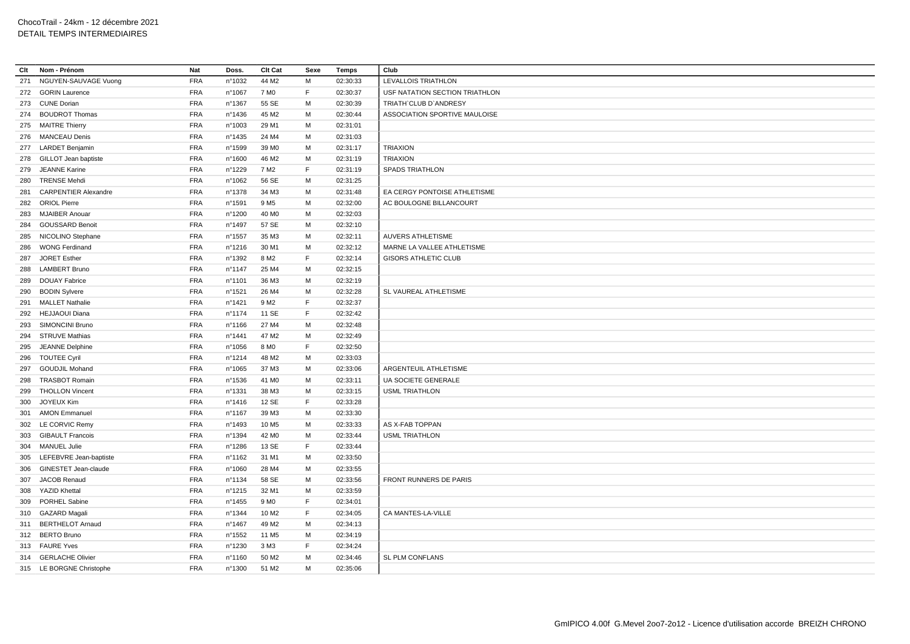| Clt | Nom - Prénom                | Nat        | Doss.            | Clt Cat           | Sexe | Temps    | Club                           |
|-----|-----------------------------|------------|------------------|-------------------|------|----------|--------------------------------|
| 271 | NGUYEN-SAUVAGE Vuong        | <b>FRA</b> | n°1032           | 44 M2             | М    | 02:30:33 | LEVALLOIS TRIATHLON            |
|     | 272 GORIN Laurence          | <b>FRA</b> | n°1067           | 7 M <sub>0</sub>  | F    | 02:30:37 | USF NATATION SECTION TRIATHLON |
|     | 273 CUNE Dorian             | <b>FRA</b> | n°1367           | 55 SE             | М    | 02:30:39 | TRIATH'CLUB D'ANDRESY          |
|     | 274 BOUDROT Thomas          | <b>FRA</b> | nº1436           | 45 M2             | M    | 02:30:44 | ASSOCIATION SPORTIVE MAULOISE  |
|     | 275 MAITRE Thierry          | <b>FRA</b> | n°1003           | 29 M1             | M    | 02:31:01 |                                |
|     | 276 MANCEAU Denis           | <b>FRA</b> | nº1435           | 24 M4             | M    | 02:31:03 |                                |
|     | 277 LARDET Benjamin         | <b>FRA</b> | nº1599           | 39 M <sub>0</sub> | M    | 02:31:17 | <b>TRIAXION</b>                |
|     | 278 GILLOT Jean baptiste    | <b>FRA</b> | nº1600           | 46 M <sub>2</sub> | M    | 02:31:19 | <b>TRIAXION</b>                |
| 279 | <b>JEANNE Karine</b>        | <b>FRA</b> | nº1229           | 7 M <sub>2</sub>  | F    | 02:31:19 | <b>SPADS TRIATHLON</b>         |
| 280 | <b>TRENSE Mehdi</b>         | <b>FRA</b> | n°1062           | 56 SE             | М    | 02:31:25 |                                |
| 281 | <b>CARPENTIER Alexandre</b> | <b>FRA</b> | nº1378           | 34 M3             | M    | 02:31:48 | EA CERGY PONTOISE ATHLETISME   |
|     | 282 ORIOL Pierre            | <b>FRA</b> | n°1591           | 9 M <sub>5</sub>  | M    | 02:32:00 | AC BOULOGNE BILLANCOURT        |
| 283 | <b>MJAIBER Anouar</b>       | <b>FRA</b> | nº1200           | 40 MO             | M    | 02:32:03 |                                |
|     | 284 GOUSSARD Benoit         | <b>FRA</b> | n°1497           | 57 SE             | M    | 02:32:10 |                                |
|     | 285 NICOLINO Stephane       | <b>FRA</b> | n°1557           | 35 M3             | м    | 02:32:11 | <b>AUVERS ATHLETISME</b>       |
|     | 286 WONG Ferdinand          | <b>FRA</b> | n°1216           | 30 M1             | M    | 02:32:12 | MARNE LA VALLEE ATHLETISME     |
| 287 | <b>JORET Esther</b>         | <b>FRA</b> | n°1392           | 8 M <sub>2</sub>  | F    | 02:32:14 | <b>GISORS ATHLETIC CLUB</b>    |
|     | 288 LAMBERT Bruno           | <b>FRA</b> | $n^{\circ}$ 1147 | 25 M4             | M    | 02:32:15 |                                |
| 289 | <b>DOUAY Fabrice</b>        | <b>FRA</b> | n°1101           | 36 M3             | М    | 02:32:19 |                                |
|     | 290 BODIN Sylvere           | <b>FRA</b> | nº1521           | 26 M4             | М    | 02:32:28 | SL VAUREAL ATHLETISME          |
|     | 291 MALLET Nathalie         | <b>FRA</b> | nº1421           | 9 M <sub>2</sub>  | F    | 02:32:37 |                                |
| 292 | <b>HEJJAOUI Diana</b>       | <b>FRA</b> | nº1174           | 11 SE             | F    | 02:32:42 |                                |
|     | 293 SIMONCINI Bruno         | <b>FRA</b> | nº1166           | 27 M4             | M    | 02:32:48 |                                |
| 294 | <b>STRUVE Mathias</b>       | <b>FRA</b> | nº1441           | 47 M2             | М    | 02:32:49 |                                |
|     | 295 JEANNE Delphine         | <b>FRA</b> | n°1056           | 8 M <sub>0</sub>  | F    | 02:32:50 |                                |
| 296 | <b>TOUTEE Cyril</b>         | <b>FRA</b> | nº1214           | 48 M2             | М    | 02:33:03 |                                |
| 297 | <b>GOUDJIL Mohand</b>       | <b>FRA</b> | n°1065           | 37 M3             | M    | 02:33:06 | ARGENTEUIL ATHLETISME          |
| 298 | <b>TRASBOT Romain</b>       | <b>FRA</b> | n°1536           | 41 M <sub>0</sub> | м    | 02:33:11 | UA SOCIETE GENERALE            |
| 299 | <b>THOLLON Vincent</b>      | <b>FRA</b> | nº1331           | 38 M3             | M    | 02:33:15 | <b>USML TRIATHLON</b>          |
| 300 | JOYEUX Kim                  | <b>FRA</b> | $n^{\circ}$ 1416 | 12 SE             | F    | 02:33:28 |                                |
| 301 | <b>AMON Emmanuel</b>        | <b>FRA</b> | nº1167           | 39 M3             | М    | 02:33:30 |                                |
|     | 302 LE CORVIC Remy          | <b>FRA</b> | n°1493           | 10 M <sub>5</sub> | M    | 02:33:33 | AS X-FAB TOPPAN                |
| 303 | <b>GIBAULT Francois</b>     | <b>FRA</b> | nº1394           | 42 M <sub>0</sub> | М    | 02:33:44 | <b>USML TRIATHLON</b>          |
|     | 304 MANUEL Julie            | <b>FRA</b> | n°1286           | 13 SE             | F    | 02:33:44 |                                |
|     | 305 LEFEBVRE Jean-baptiste  | <b>FRA</b> | nº1162           | 31 M1             | M    | 02:33:50 |                                |
| 306 | GINESTET Jean-claude        | <b>FRA</b> | n°1060           | 28 M4             | M    | 02:33:55 |                                |
| 307 | <b>JACOB Renaud</b>         | <b>FRA</b> | nº1134           | 58 SE             | M    | 02:33:56 | FRONT RUNNERS DE PARIS         |
| 308 | <b>YAZID Khettal</b>        | <b>FRA</b> | n°1215           | 32 M1             | M    | 02:33:59 |                                |
|     | 309 PORHEL Sabine           | <b>FRA</b> | $n^{\circ}$ 1455 | 9 M <sub>0</sub>  | F    | 02:34:01 |                                |
|     | 310 GAZARD Magali           | <b>FRA</b> | nº1344           | 10 M <sub>2</sub> | F.   | 02:34:05 | CA MANTES-LA-VILLE             |
|     | 311 BERTHELOT Arnaud        | <b>FRA</b> | n°1467           | 49 M <sub>2</sub> | M    | 02:34:13 |                                |
|     | 312 BERTO Bruno             | <b>FRA</b> | n°1552           | 11 M <sub>5</sub> | M    | 02:34:19 |                                |
|     | 313 FAURE Yves              | <b>FRA</b> | nº1230           | 3 M3              | F    | 02:34:24 |                                |
|     | 314 GERLACHE Olivier        | <b>FRA</b> | nº1160           | 50 M2             | M    | 02:34:46 | SL PLM CONFLANS                |
|     | 315 LE BORGNE Christophe    | <b>FRA</b> | n°1300           | 51 M2             | М    | 02:35:06 |                                |
|     |                             |            |                  |                   |      |          |                                |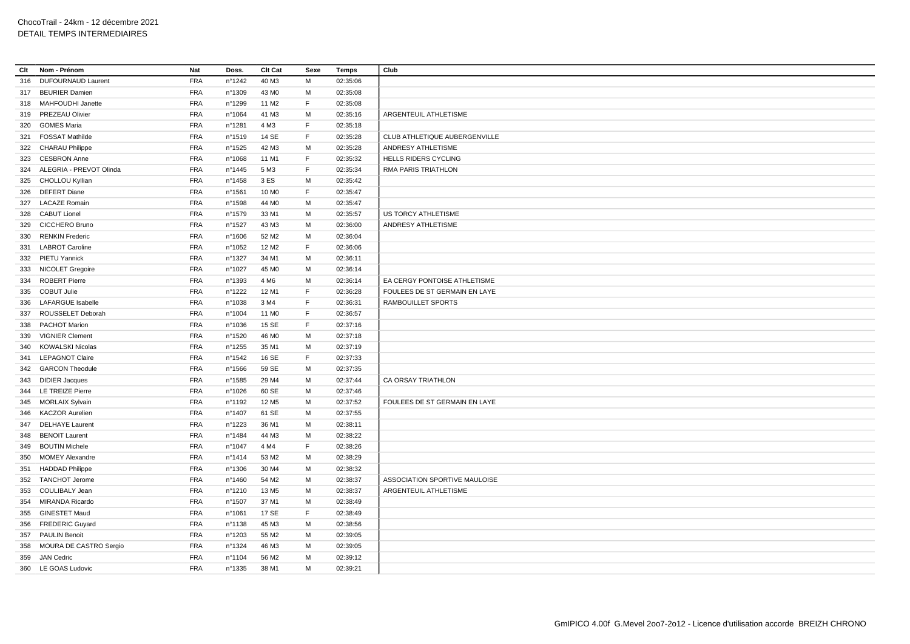| Clt | Nom - Prénom              | Nat        | Doss.            | Clt Cat           | Sexe | Temps    | Club                          |
|-----|---------------------------|------------|------------------|-------------------|------|----------|-------------------------------|
| 316 | <b>DUFOURNAUD Laurent</b> | <b>FRA</b> | n°1242           | 40 M3             | M    | 02:35:06 |                               |
| 317 | <b>BEURIER Damien</b>     | <b>FRA</b> | n°1309           | 43 MO             | M    | 02:35:08 |                               |
| 318 | <b>MAHFOUDHI Janette</b>  | <b>FRA</b> | n°1299           | 11 M <sub>2</sub> | F    | 02:35:08 |                               |
| 319 | PREZEAU Olivier           | <b>FRA</b> | n°1064           | 41 M3             | М    | 02:35:16 | ARGENTEUIL ATHLETISME         |
| 320 | <b>GOMES Maria</b>        | <b>FRA</b> | n°1281           | 4 M3              | F.   | 02:35:18 |                               |
| 321 | <b>FOSSAT Mathilde</b>    | <b>FRA</b> | n°1519           | 14 SE             | F    | 02:35:28 | CLUB ATHLETIQUE AUBERGENVILLE |
|     | 322 CHARAU Philippe       | <b>FRA</b> | $n^{\circ}$ 1525 | 42 M3             | M    | 02:35:28 | ANDRESY ATHLETISME            |
| 323 | <b>CESBRON Anne</b>       | <b>FRA</b> | n°1068           | 11 M1             | F    | 02:35:32 | <b>HELLS RIDERS CYCLING</b>   |
| 324 | ALEGRIA - PREVOT Olinda   | <b>FRA</b> | $n^{\circ}$ 1445 | 5 M3              | F.   | 02:35:34 | RMA PARIS TRIATHLON           |
| 325 | CHOLLOU Kyllian           | <b>FRA</b> | n°1458           | 3 ES              | M    | 02:35:42 |                               |
| 326 | <b>DEFERT Diane</b>       | <b>FRA</b> | n°1561           | 10 M <sub>0</sub> | F.   | 02:35:47 |                               |
|     | 327 LACAZE Romain         | <b>FRA</b> | nº1598           | 44 M <sub>0</sub> | M    | 02:35:47 |                               |
|     | 328 CABUT Lionel          | <b>FRA</b> | n°1579           | 33 M1             | М    | 02:35:57 | US TORCY ATHLETISME           |
| 329 | <b>CICCHERO Bruno</b>     | <b>FRA</b> | n°1527           | 43 M3             | M    | 02:36:00 | ANDRESY ATHLETISME            |
| 330 | <b>RENKIN Frederic</b>    | <b>FRA</b> | n°1606           | 52 M <sub>2</sub> | M    | 02:36:04 |                               |
| 331 | <b>LABROT Caroline</b>    | <b>FRA</b> | n°1052           | 12 M <sub>2</sub> | F    | 02:36:06 |                               |
|     | 332 PIETU Yannick         | <b>FRA</b> | n°1327           | 34 M1             | М    | 02:36:11 |                               |
|     | 333 NICOLET Gregoire      | <b>FRA</b> | n°1027           | 45 M <sub>0</sub> | M    | 02:36:14 |                               |
| 334 | <b>ROBERT Pierre</b>      | <b>FRA</b> | n°1393           | 4 M <sub>6</sub>  | М    | 02:36:14 | EA CERGY PONTOISE ATHLETISME  |
|     | 335 COBUT Julie           | <b>FRA</b> | n°1222           | 12 M1             | F    | 02:36:28 | FOULEES DE ST GERMAIN EN LAYE |
| 336 | <b>LAFARGUE Isabelle</b>  | <b>FRA</b> | nº1038           | 3 M4              | F    | 02:36:31 | RAMBOUILLET SPORTS            |
| 337 | ROUSSELET Deborah         | <b>FRA</b> | n°1004           | 11 M <sub>0</sub> | F.   | 02:36:57 |                               |
| 338 | <b>PACHOT Marion</b>      | <b>FRA</b> | nº1036           | 15 SE             | F    | 02:37:16 |                               |
| 339 | <b>VIGNIER Clement</b>    | <b>FRA</b> | nº1520           | 46 M <sub>0</sub> | M    | 02:37:18 |                               |
| 340 | <b>KOWALSKI Nicolas</b>   | <b>FRA</b> | $n^{\circ}$ 1255 | 35 M1             | M    | 02:37:19 |                               |
| 341 | <b>LEPAGNOT Claire</b>    | <b>FRA</b> | n°1542           | 16 SE             | F    | 02:37:33 |                               |
|     | 342 GARCON Theodule       | <b>FRA</b> | n°1566           | 59 SE             | M    | 02:37:35 |                               |
|     | 343 DIDIER Jacques        | <b>FRA</b> | n°1585           | 29 M4             | М    | 02:37:44 | CA ORSAY TRIATHLON            |
|     | 344 LE TREIZE Pierre      | <b>FRA</b> | n°1026           | 60 SE             | M    | 02:37:46 |                               |
| 345 | <b>MORLAIX Sylvain</b>    | <b>FRA</b> | n°1192           | 12 M <sub>5</sub> | M    | 02:37:52 | FOULEES DE ST GERMAIN EN LAYE |
| 346 | <b>KACZOR Aurelien</b>    | <b>FRA</b> | n°1407           | 61 SE             | м    | 02:37:55 |                               |
| 347 | <b>DELHAYE Laurent</b>    | FRA        | nº1223           | 36 M1             | M    | 02:38:11 |                               |
| 348 | <b>BENOIT Laurent</b>     | <b>FRA</b> | n°1484           | 44 M3             | M    | 02:38:22 |                               |
| 349 | <b>BOUTIN Michele</b>     | <b>FRA</b> | n°1047           | 4 M4              | F.   | 02:38:26 |                               |
| 350 | <b>MOMEY Alexandre</b>    | FRA        | n°1414           | 53 M2             | M    | 02:38:29 |                               |
|     | <b>HADDAD Philippe</b>    | <b>FRA</b> |                  | 30 M4             | M    | 02:38:32 |                               |
| 351 | <b>TANCHOT Jerome</b>     | <b>FRA</b> | n°1306<br>n°1460 | 54 M2             | M    | 02:38:37 | ASSOCIATION SPORTIVE MAULOISE |
| 352 |                           |            |                  |                   |      |          |                               |
|     | 353 COULIBALY Jean        | <b>FRA</b> | nº1210           | 13 M <sub>5</sub> | M    | 02:38:37 | ARGENTEUIL ATHLETISME         |
| 354 | MIRANDA Ricardo           | <b>FRA</b> | n°1507           | 37 M1             | M    | 02:38:49 |                               |
| 355 | <b>GINESTET Maud</b>      | <b>FRA</b> | n°1061           | 17 SE             | F    | 02:38:49 |                               |
|     | 356 FREDERIC Guyard       | <b>FRA</b> | n°1138           | 45 M3             | M    | 02:38:56 |                               |
| 357 | <b>PAULIN Benoit</b>      | <b>FRA</b> | n°1203           | 55 M2             | M    | 02:39:05 |                               |
| 358 | MOURA DE CASTRO Sergio    | <b>FRA</b> | nº1324           | 46 M3             | M    | 02:39:05 |                               |
| 359 | <b>JAN Cedric</b>         | <b>FRA</b> | n°1104           | 56 M2             | M    | 02:39:12 |                               |
| 360 | <b>LE GOAS Ludovic</b>    | <b>FRA</b> | nº1335           | 38 M1             | M    | 02:39:21 |                               |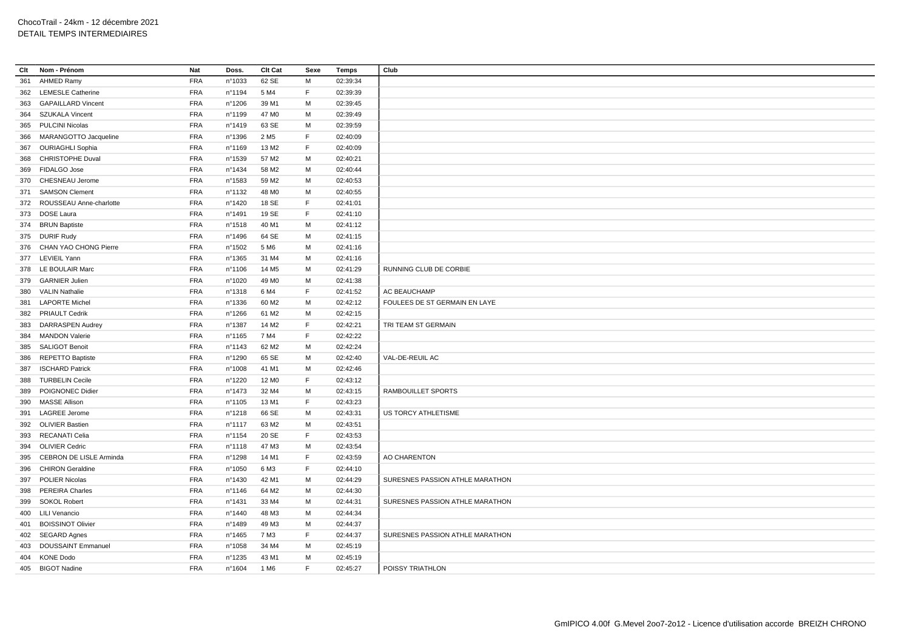| Clt | Nom - Prénom                   | Nat        | Doss.            | Clt Cat           | Sexe        | <b>Temps</b> | Club                            |
|-----|--------------------------------|------------|------------------|-------------------|-------------|--------------|---------------------------------|
| 361 | <b>AHMED Ramy</b>              | <b>FRA</b> | n°1033           | 62 SE             | M           | 02:39:34     |                                 |
|     | 362 LEMESLE Catherine          | <b>FRA</b> | n°1194           | 5 M4              | F           | 02:39:39     |                                 |
| 363 | <b>GAPAILLARD Vincent</b>      | <b>FRA</b> | nº1206           | 39 M1             | M           | 02:39:45     |                                 |
| 364 | <b>SZUKALA Vincent</b>         | <b>FRA</b> | n°1199           | 47 M <sub>0</sub> | M           | 02:39:49     |                                 |
|     | 365 PULCINI Nicolas            | <b>FRA</b> | n°1419           | 63 SE             | M           | 02:39:59     |                                 |
| 366 | MARANGOTTO Jacqueline          | <b>FRA</b> | n°1396           | 2 M <sub>5</sub>  | F           | 02:40:09     |                                 |
|     | 367 OURIAGHLI Sophia           | <b>FRA</b> | n°1169           | 13 M2             | F           | 02:40:09     |                                 |
| 368 | <b>CHRISTOPHE Duval</b>        | <b>FRA</b> | n°1539           | 57 M2             | M           | 02:40:21     |                                 |
|     | 369 FIDALGO Jose               | <b>FRA</b> | n°1434           | 58 M2             | м           | 02:40:44     |                                 |
|     | 370 CHESNEAU Jerome            | <b>FRA</b> | n°1583           | 59 M2             | M           | 02:40:53     |                                 |
| 371 | <b>SAMSON Clement</b>          | <b>FRA</b> | n°1132           | 48 M <sub>0</sub> | M           | 02:40:55     |                                 |
|     | 372 ROUSSEAU Anne-charlotte    | <b>FRA</b> | nº1420           | 18 SE             | F           | 02:41:01     |                                 |
|     | 373 DOSE Laura                 | <b>FRA</b> | n°1491           | 19 SE             | F           | 02:41:10     |                                 |
|     | 374 BRUN Baptiste              | <b>FRA</b> | n°1518           | 40 M1             | M           | 02:41:12     |                                 |
|     | 375 DURIF Rudy                 | <b>FRA</b> | n°1496           | 64 SE             | M           | 02:41:15     |                                 |
|     | 376 CHAN YAO CHONG Pierre      | <b>FRA</b> | n°1502           | 5 M <sub>6</sub>  | M           | 02:41:16     |                                 |
|     | 377 LEVIEIL Yann               | <b>FRA</b> | n°1365           | 31 M4             | M           | 02:41:16     |                                 |
|     | 378 LE BOULAIR Marc            | <b>FRA</b> | nº1106           | 14 M <sub>5</sub> | M           | 02:41:29     | RUNNING CLUB DE CORBIE          |
| 379 | <b>GARNIER Julien</b>          | <b>FRA</b> | n°1020           | 49 M <sub>0</sub> | M           | 02:41:38     |                                 |
| 380 | <b>VALIN Nathalie</b>          | <b>FRA</b> | nº1318           | 6 M4              | F           | 02:41:52     | AC BEAUCHAMP                    |
| 381 | <b>LAPORTE Michel</b>          | <b>FRA</b> | n°1336           | 60 M <sub>2</sub> | M           | 02:42:12     | FOULEES DE ST GERMAIN EN LAYE   |
|     |                                |            |                  |                   |             |              |                                 |
|     | 382 PRIAULT Cedrik             | <b>FRA</b> | n°1266           | 61 M2             | M           | 02:42:15     |                                 |
| 383 | <b>DARRASPEN Audrey</b>        | <b>FRA</b> | n°1387           | 14 M <sub>2</sub> | F           | 02:42:21     | TRI TEAM ST GERMAIN             |
|     | 384 MANDON Valerie             | <b>FRA</b> | nº1165           | 7 M4              | $\mathsf F$ | 02:42:22     |                                 |
| 385 | <b>SALIGOT Benoit</b>          | <b>FRA</b> | n°1143           | 62 M <sub>2</sub> | M           | 02:42:24     |                                 |
| 386 | <b>REPETTO Baptiste</b>        | <b>FRA</b> | n°1290           | 65 SE             | M           | 02:42:40     | VAL-DE-REUIL AC                 |
| 387 | <b>ISCHARD Patrick</b>         | <b>FRA</b> | n°1008           | 41 M1             | M           | 02:42:46     |                                 |
| 388 | <b>TURBELIN Cecile</b>         | <b>FRA</b> | n°1220           | 12 M <sub>0</sub> | $\mathsf F$ | 02:43:12     |                                 |
| 389 | POIGNONEC Didier               | <b>FRA</b> | n°1473           | 32 M4             | M           | 02:43:15     | RAMBOUILLET SPORTS              |
| 390 | <b>MASSE Allison</b>           | <b>FRA</b> | nº1105           | 13 M1             | F           | 02:43:23     |                                 |
| 391 | <b>LAGREE Jerome</b>           | <b>FRA</b> | n°1218           | 66 SE             | M           | 02:43:31     | US TORCY ATHLETISME             |
| 392 | <b>OLIVIER Bastien</b>         | <b>FRA</b> | n°1117           | 63 M2             | M           | 02:43:51     |                                 |
|     | 393 RECANATI Celia             | <b>FRA</b> | n°1154           | 20 SE             | F           | 02:43:53     |                                 |
| 394 | <b>OLIVIER Cedric</b>          | <b>FRA</b> | n°1118           | 47 M3             | M           | 02:43:54     |                                 |
| 395 | <b>CEBRON DE LISLE Arminda</b> | <b>FRA</b> | n°1298           | 14 M1             | F           | 02:43:59     | AO CHARENTON                    |
| 396 | <b>CHIRON Geraldine</b>        | <b>FRA</b> | n°1050           | 6 M3              | F           | 02:44:10     |                                 |
| 397 | <b>POLIER Nicolas</b>          | <b>FRA</b> | nº1430           | 42 M1             | M           | 02:44:29     | SURESNES PASSION ATHLE MARATHON |
|     | 398 PEREIRA Charles            | <b>FRA</b> | nº1146           | 64 M2             | M           | 02:44:30     |                                 |
| 399 | <b>SOKOL Robert</b>            | <b>FRA</b> | nº1431           | 33 M4             | M           | 02:44:31     | SURESNES PASSION ATHLE MARATHON |
|     | 400 LILI Venancio              | <b>FRA</b> | nº1440           | 48 M3             | М           | 02:44:34     |                                 |
|     | 401 BOISSINOT Olivier          | <b>FRA</b> | n°1489           | 49 M3             | М           | 02:44:37     |                                 |
|     | 402 SEGARD Agnes               | <b>FRA</b> | $n^{\circ}$ 1465 | 7 M3              | E           | 02:44:37     | SURESNES PASSION ATHLE MARATHON |
| 403 | <b>DOUSSAINT Emmanuel</b>      | <b>FRA</b> | n°1058           | 34 M4             | M           | 02:45:19     |                                 |
| 404 | <b>KONE Dodo</b>               | <b>FRA</b> | nº1235           | 43 M1             | M           | 02:45:19     |                                 |
|     | 405 BIGOT Nadine               | <b>FRA</b> | n°1604           | 1 M <sub>6</sub>  | F           | 02:45:27     | POISSY TRIATHLON                |
|     |                                |            |                  |                   |             |              |                                 |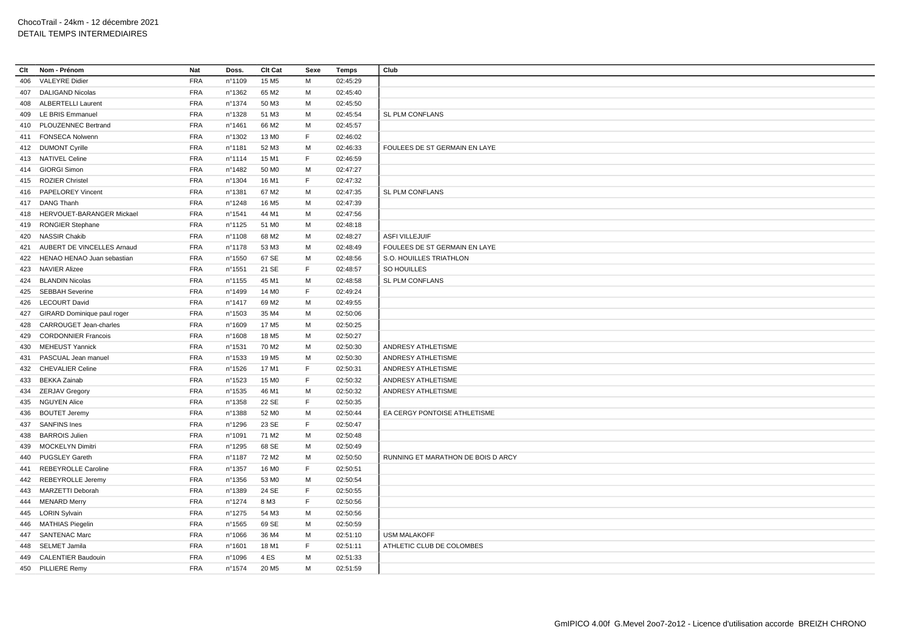| Clt | Nom - Prénom                  | Nat        | Doss.            | Clt Cat           | Sexe        | Temps    | Club                               |
|-----|-------------------------------|------------|------------------|-------------------|-------------|----------|------------------------------------|
| 406 | <b>VALEYRE Didier</b>         | FRA        | n°1109           | 15 M <sub>5</sub> | М           | 02:45:29 |                                    |
| 407 | <b>DALIGAND Nicolas</b>       | <b>FRA</b> | n°1362           | 65 M2             | M           | 02:45:40 |                                    |
| 408 | <b>ALBERTELLI Laurent</b>     | <b>FRA</b> | nº1374           | 50 M3             | М           | 02:45:50 |                                    |
| 409 | LE BRIS Emmanuel              | <b>FRA</b> | n°1328           | 51 M3             | M           | 02:45:54 | SL PLM CONFLANS                    |
|     | 410 PLOUZENNEC Bertrand       | <b>FRA</b> | n°1461           | 66 M2             | M           | 02:45:57 |                                    |
| 411 | <b>FONSECA Nolwenn</b>        | <b>FRA</b> | n°1302           | 13 M <sub>0</sub> | F           | 02:46:02 |                                    |
|     | 412 DUMONT Cyrille            | <b>FRA</b> | n°1181           | 52 M3             | M           | 02:46:33 | FOULEES DE ST GERMAIN EN LAYE      |
|     | 413 NATIVEL Celine            | <b>FRA</b> | n°1114           | 15 M1             | F           | 02:46:59 |                                    |
|     | 414 GIORGI Simon              | <b>FRA</b> | n°1482           | 50 MO             | М           | 02:47:27 |                                    |
|     | 415 ROZIER Christel           | <b>FRA</b> | n°1304           | 16 M1             | F           | 02:47:32 |                                    |
| 416 | <b>PAPELOREY Vincent</b>      | <b>FRA</b> | n°1381           | 67 M2             | M           | 02:47:35 | SL PLM CONFLANS                    |
|     | 417 DANG Thanh                | <b>FRA</b> | n°1248           | 16 M <sub>5</sub> | M           | 02:47:39 |                                    |
| 418 | HERVOUET-BARANGER Mickael     | <b>FRA</b> | n°1541           | 44 M1             | M           | 02:47:56 |                                    |
|     | 419 RONGIER Stephane          | <b>FRA</b> | nº1125           | 51 M <sub>0</sub> | М           | 02:48:18 |                                    |
|     | 420 NASSIR Chakib             | <b>FRA</b> | n°1108           | 68 M2             | M           | 02:48:27 | <b>ASFI VILLEJUIF</b>              |
| 421 | AUBERT DE VINCELLES Arnaud    | <b>FRA</b> | nº1178           | 53 M3             | M           | 02:48:49 | FOULEES DE ST GERMAIN EN LAYE      |
| 422 | HENAO HENAO Juan sebastian    | FRA        | n°1550           | 67 SE             | M           | 02:48:56 | S.O. HOUILLES TRIATHLON            |
|     | 423 NAVIER Alizee             | <b>FRA</b> | n°1551           | 21 SE             | F           | 02:48:57 | SO HOUILLES                        |
| 424 | <b>BLANDIN Nicolas</b>        | <b>FRA</b> | n°1155           | 45 M1             | M           | 02:48:58 | SL PLM CONFLANS                    |
| 425 | <b>SEBBAH Severine</b>        | <b>FRA</b> | n°1499           | 14 M <sub>0</sub> | F           | 02:49:24 |                                    |
|     | 426 LECOURT David             | <b>FRA</b> | nº1417           | 69 M <sub>2</sub> | M           | 02:49:55 |                                    |
| 427 | GIRARD Dominique paul roger   | <b>FRA</b> | $n^{\circ}$ 1503 | 35 M4             | M           | 02:50:06 |                                    |
| 428 | <b>CARROUGET Jean-charles</b> | <b>FRA</b> | n°1609           | 17 M <sub>5</sub> | M           | 02:50:25 |                                    |
| 429 | <b>CORDONNIER Francois</b>    | <b>FRA</b> | n°1608           | 18 M <sub>5</sub> | M           | 02:50:27 |                                    |
| 430 | <b>MEHEUST Yannick</b>        | <b>FRA</b> | nº1531           | 70 M <sub>2</sub> | M           | 02:50:30 | ANDRESY ATHLETISME                 |
| 431 | PASCUAL Jean manuel           | <b>FRA</b> | n°1533           | 19 M <sub>5</sub> | М           | 02:50:30 | ANDRESY ATHLETISME                 |
| 432 | <b>CHEVALIER Celine</b>       | <b>FRA</b> | n°1526           | 17 M1             | $\mathsf F$ | 02:50:31 | ANDRESY ATHLETISME                 |
| 433 | <b>BEKKA Zainab</b>           | <b>FRA</b> | n°1523           | 15 M <sub>0</sub> | F           | 02:50:32 | ANDRESY ATHLETISME                 |
|     | 434 ZERJAV Gregory            | <b>FRA</b> | n°1535           | 46 M1             | M           | 02:50:32 | ANDRESY ATHLETISME                 |
| 435 | <b>NGUYEN Alice</b>           | <b>FRA</b> | nº1358           | 22 SE             | F           | 02:50:35 |                                    |
| 436 | <b>BOUTET Jeremy</b>          | <b>FRA</b> | n°1388           | 52 M <sub>0</sub> | M           | 02:50:44 | EA CERGY PONTOISE ATHLETISME       |
| 437 | <b>SANFINS Ines</b>           | <b>FRA</b> | n°1296           | 23 SE             | F           | 02:50:47 |                                    |
| 438 | <b>BARROIS Julien</b>         | <b>FRA</b> | n°1091           | 71 M <sub>2</sub> | M           | 02:50:48 |                                    |
| 439 | <b>MOCKELYN Dimitri</b>       | <b>FRA</b> | n°1295           | 68 SE             | M           | 02:50:49 |                                    |
| 440 | PUGSLEY Gareth                | <b>FRA</b> | n°1187           | 72 M <sub>2</sub> | M           | 02:50:50 | RUNNING ET MARATHON DE BOIS D ARCY |
| 441 | REBEYROLLE Caroline           | <b>FRA</b> | n°1357           | 16 M <sub>0</sub> | F           | 02:50:51 |                                    |
| 442 | REBEYROLLE Jeremy             | <b>FRA</b> | nº1356           | 53 M <sub>0</sub> | M           | 02:50:54 |                                    |
|     | 443 MARZETTI Deborah          | <b>FRA</b> | n°1389           | 24 SE             | F           | 02:50:55 |                                    |
|     | 444 MENARD Merry              | <b>FRA</b> | n°1274           | 8 M3              | F.          | 02:50:56 |                                    |
|     | 445 LORIN Sylvain             | <b>FRA</b> | n°1275           | 54 M3             | М           | 02:50:56 |                                    |
|     | 446 MATHIAS Piegelin          | <b>FRA</b> | $n^{\circ}$ 1565 | 69 SE             | M           | 02:50:59 |                                    |
|     | 447 SANTENAC Marc             | <b>FRA</b> | n°1066           | 36 M4             | M           | 02:51:10 | <b>USM MALAKOFF</b>                |
| 448 | SELMET Jamila                 | <b>FRA</b> | n°1601           | 18 M1             | F           | 02:51:11 | ATHLETIC CLUB DE COLOMBES          |
| 449 | <b>CALENTIER Baudouin</b>     | <b>FRA</b> | n°1096           | 4 ES              | M           | 02:51:33 |                                    |
|     | 450 PILLIERE Remy             | <b>FRA</b> | nº1574           | 20 M <sub>5</sub> | M           | 02:51:59 |                                    |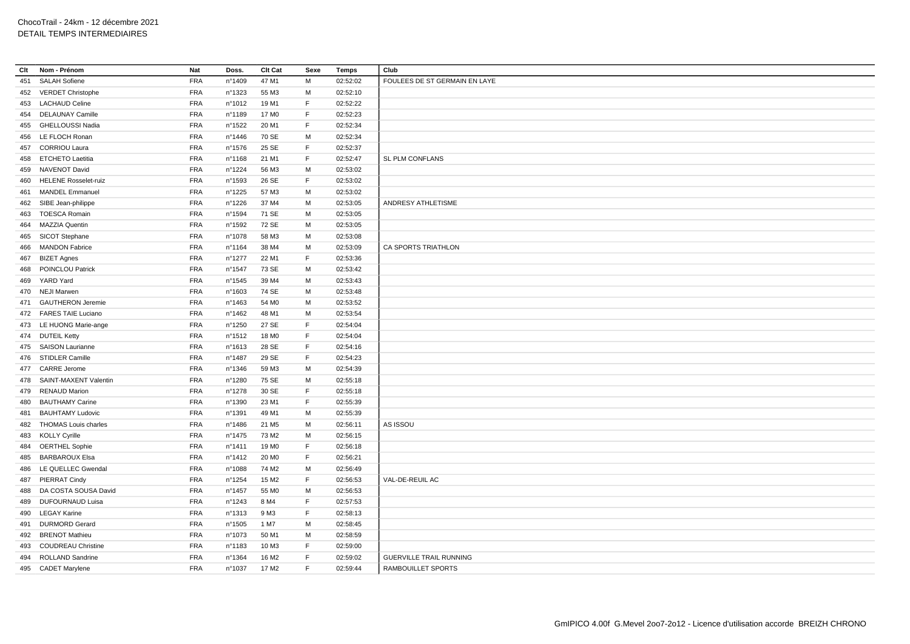| Clt        | Nom - Prénom                | Nat        | Doss.            | Clt Cat           | Sexe        | <b>Temps</b> | Club                           |
|------------|-----------------------------|------------|------------------|-------------------|-------------|--------------|--------------------------------|
| 451        | <b>SALAH Sofiene</b>        | <b>FRA</b> | n°1409           | 47 M1             | M           | 02:52:02     | FOULEES DE ST GERMAIN EN LAYE  |
|            | 452 VERDET Christophe       | <b>FRA</b> | nº1323           | 55 M3             | M           | 02:52:10     |                                |
| 453        | <b>LACHAUD Celine</b>       | <b>FRA</b> | n°1012           | 19 M1             | F           | 02:52:22     |                                |
| 454        | <b>DELAUNAY Camille</b>     | <b>FRA</b> | n°1189           | 17 M <sub>0</sub> | F.          | 02:52:23     |                                |
| 455        | <b>GHELLOUSSI Nadia</b>     | <b>FRA</b> | n°1522           | 20 M1             | F.          | 02:52:34     |                                |
| 456        | LE FLOCH Ronan              | <b>FRA</b> | $n^{\circ}$ 1446 | 70 SE             | M           | 02:52:34     |                                |
| 457        | <b>CORRIOU Laura</b>        | <b>FRA</b> | nº1576           | 25 SE             | F           | 02:52:37     |                                |
| 458        | <b>ETCHETO Laetitia</b>     | <b>FRA</b> | nº1168           | 21 M1             | $\mathsf F$ | 02:52:47     | SL PLM CONFLANS                |
| 459        | NAVENOT David               | FRA        | nº1224           | 56 M3             | M           | 02:53:02     |                                |
| 460        | <b>HELENE Rosselet-ruiz</b> | <b>FRA</b> | n°1593           | 26 SE             | F           | 02:53:02     |                                |
| 461        | <b>MANDEL Emmanuel</b>      | <b>FRA</b> | n°1225           | 57 M3             | M           | 02:53:02     |                                |
|            | 462 SIBE Jean-philippe      | <b>FRA</b> | n°1226           | 37 M4             | M           | 02:53:05     | ANDRESY ATHLETISME             |
|            | 463 TOESCA Romain           | <b>FRA</b> | nº1594           | 71 SE             | M           | 02:53:05     |                                |
| 464        | MAZZIA Quentin              | <b>FRA</b> | nº1592           | 72 SE             | M           | 02:53:05     |                                |
| 465        | SICOT Stephane              | <b>FRA</b> | n°1078           | 58 M3             | M           | 02:53:08     |                                |
| 466        | <b>MANDON Fabrice</b>       | <b>FRA</b> | nº1164           | 38 M4             | M           | 02:53:09     | CA SPORTS TRIATHLON            |
| 467        | <b>BIZET Agnes</b>          | <b>FRA</b> | n°1277           | 22 M1             | $\mathsf F$ | 02:53:36     |                                |
| 468        | POINCLOU Patrick            | <b>FRA</b> | n°1547           | 73 SE             | M           | 02:53:42     |                                |
| 469        | YARD Yard                   | <b>FRA</b> | $n^{\circ}$ 1545 | 39 M4             | M           | 02:53:43     |                                |
|            | 470 NEJI Marwen             | <b>FRA</b> | n°1603           | 74 SE             | M           | 02:53:48     |                                |
|            | 471 GAUTHERON Jeremie       | <b>FRA</b> | $n^{\circ}$ 1463 | 54 M <sub>0</sub> | M           | 02:53:52     |                                |
|            | 472 FARES TAIE Luciano      | FRA        | nº1462           | 48 M1             | M           | 02:53:54     |                                |
|            | 473 LE HUONG Marie-ange     | <b>FRA</b> | n°1250           | 27 SE             | F           | 02:54:04     |                                |
|            | 474 DUTEIL Ketty            | <b>FRA</b> | $n^{\circ}$ 1512 | 18 M <sub>0</sub> | F           | 02:54:04     |                                |
| 475        | <b>SAISON Laurianne</b>     | FRA        | n°1613           | 28 SE             | F.          | 02:54:16     |                                |
|            | <b>STIDLER Camille</b>      | <b>FRA</b> | n°1487           | 29 SE             | F           | 02:54:23     |                                |
| 476<br>477 | <b>CARRE</b> Jerome         | <b>FRA</b> |                  | 59 M3             | M           | 02:54:39     |                                |
|            |                             |            | nº1346           |                   |             |              |                                |
| 478        | SAINT-MAXENT Valentin       | <b>FRA</b> | n°1280           | 75 SE             | М<br>F      | 02:55:18     |                                |
| 479        | <b>RENAUD Marion</b>        | <b>FRA</b> | nº1278           | 30 SE             | F           | 02:55:18     |                                |
| 480        | <b>BAUTHAMY Carine</b>      | <b>FRA</b> | n°1390           | 23 M1             |             | 02:55:39     |                                |
| 481        | <b>BAUHTAMY Ludovic</b>     | <b>FRA</b> | n°1391           | 49 M1             | M           | 02:55:39     |                                |
|            | 482 THOMAS Louis charles    | <b>FRA</b> | n°1486           | 21 M <sub>5</sub> | M           | 02:56:11     | AS ISSOU                       |
| 483        | <b>KOLLY Cyrille</b>        | <b>FRA</b> | $n^{\circ}$ 1475 | 73 M2             | M           | 02:56:15     |                                |
|            | 484 OERTHEL Sophie          | FRA        | n°1411           | 19 M <sub>0</sub> | F.          | 02:56:18     |                                |
| 485        | <b>BARBAROUX Elsa</b>       | <b>FRA</b> | n°1412           | 20 M <sub>0</sub> | F.          | 02:56:21     |                                |
| 486        | LE QUELLEC Gwendal          | <b>FRA</b> | n°1088           | 74 M2             | M           | 02:56:49     |                                |
| 487        | <b>PIERRAT Cindy</b>        | <b>FRA</b> | n°1254           | 15 M2             | F           | 02:56:53     | VAL-DE-REUIL AC                |
| 488        | DA COSTA SOUSA David        | <b>FRA</b> | n°1457           | 55 M <sub>0</sub> | M           | 02:56:53     |                                |
| 489        | <b>DUFOURNAUD Luisa</b>     | <b>FRA</b> | n°1243           | 8 M4              | F           | 02:57:53     |                                |
| 490        | <b>LEGAY Karine</b>         | <b>FRA</b> | $n^{\circ}$ 1313 | 9 M3              | $\mathsf F$ | 02:58:13     |                                |
| 491        | <b>DURMORD Gerard</b>       | <b>FRA</b> | n°1505           | 1 M7              | М           | 02:58:45     |                                |
| 492        | <b>BRENOT Mathieu</b>       | <b>FRA</b> | n°1073           | 50 M1             | м           | 02:58:59     |                                |
| 493        | <b>COUDREAU Christine</b>   | <b>FRA</b> | nº1183           | 10 M3             | F           | 02:59:00     |                                |
| 494        | ROLLAND Sandrine            | <b>FRA</b> | n°1364           | 16 M <sub>2</sub> | $\mathsf F$ | 02:59:02     | <b>GUERVILLE TRAIL RUNNING</b> |
|            | 495 CADET Marylene          | <b>FRA</b> | nº1037           | 17 M <sub>2</sub> | F.          | 02:59:44     | RAMBOUILLET SPORTS             |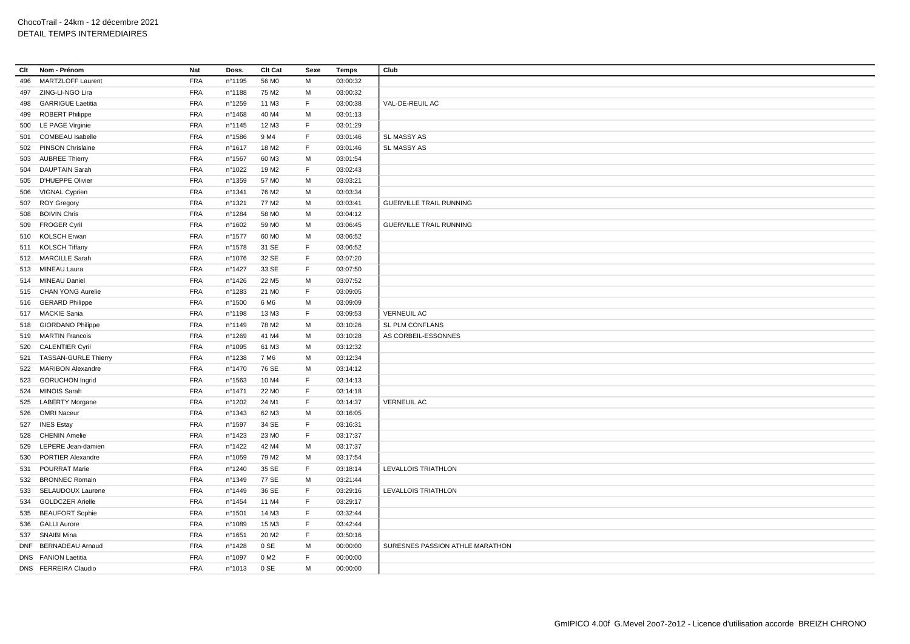| Clt | Nom - Prénom                                   | <b>Nat</b> | Doss.  | Clt Cat           | Sexe | <b>Temps</b>         | Club                            |
|-----|------------------------------------------------|------------|--------|-------------------|------|----------------------|---------------------------------|
| 496 | <b>MARTZLOFF Laurent</b>                       | <b>FRA</b> | n°1195 | 56 MO             | м    | 03:00:32             |                                 |
| 497 | ZING-LI-NGO Lira                               | <b>FRA</b> | n°1188 | 75 M2             | M    | 03:00:32             |                                 |
| 498 | <b>GARRIGUE Laetitia</b>                       | <b>FRA</b> | n°1259 | 11 M3             | F.   | 03:00:38             | VAL-DE-REUIL AC                 |
| 499 | <b>ROBERT Philippe</b>                         | <b>FRA</b> | n°1468 | 40 M4             | M    | 03:01:13             |                                 |
|     | 500 LE PAGE Virginie                           | <b>FRA</b> | nº1145 | 12 M3             | E    | 03:01:29             |                                 |
| 501 | COMBEAU Isabelle                               | <b>FRA</b> | n°1586 | 9 M4              | F    | 03:01:46             | SL MASSY AS                     |
|     | 502 PINSON Chrislaine                          | <b>FRA</b> | n°1617 | 18 M <sub>2</sub> | F.   | 03:01:46             | SL MASSY AS                     |
| 503 | <b>AUBREE Thierry</b>                          | <b>FRA</b> | n°1567 | 60 M3             | М    | 03:01:54             |                                 |
| 504 | <b>DAUPTAIN Sarah</b>                          | <b>FRA</b> | n°1022 | 19 M <sub>2</sub> | F.   | 03:02:43             |                                 |
|     | 505 D'HUEPPE Olivier                           | <b>FRA</b> | n°1359 | 57 M <sub>0</sub> | м    | 03:03:21             |                                 |
| 506 | VIGNAL Cyprien                                 | <b>FRA</b> | n°1341 | 76 M2             | M    | 03:03:34             |                                 |
|     | 507 ROY Gregory                                | <b>FRA</b> | n°1321 | 77 M2             | м    | 03:03:41             | <b>GUERVILLE TRAIL RUNNING</b>  |
| 508 | <b>BOIVIN Chris</b>                            | <b>FRA</b> | n°1284 | 58 M <sub>0</sub> | м    | 03:04:12             |                                 |
|     | 509 FROGER Cyril                               | <b>FRA</b> | n°1602 | 59 M <sub>0</sub> | M    | 03:06:45             | <b>GUERVILLE TRAIL RUNNING</b>  |
|     | 510 KOLSCH Erwan                               | <b>FRA</b> | n°1577 | 60 M <sub>0</sub> | м    | 03:06:52             |                                 |
|     | 511 KOLSCH Tiffany                             | <b>FRA</b> | n°1578 | 31 SE             | E    | 03:06:52             |                                 |
|     | 512 MARCILLE Sarah                             | <b>FRA</b> | n°1076 | 32 SE             | F.   | 03:07:20             |                                 |
|     | 513 MINEAU Laura                               | <b>FRA</b> | n°1427 | 33 SE             | F.   | 03:07:50             |                                 |
|     | 514 MINEAU Daniel                              | <b>FRA</b> | n°1426 | 22 M <sub>5</sub> | м    | 03:07:52             |                                 |
|     | 515 CHAN YONG Aurelie                          | <b>FRA</b> | n°1283 | 21 M <sub>0</sub> | F.   | 03:09:05             |                                 |
|     | 516 GERARD Philippe                            | <b>FRA</b> | n°1500 | 6 M6              | M    | 03:09:09             |                                 |
|     | 517 MACKIE Sania                               | <b>FRA</b> | n°1198 | 13 M3             | F.   | 03:09:53             | <b>VERNEUIL AC</b>              |
|     | 518 GIORDANO Philippe                          | <b>FRA</b> | n°1149 | 78 M2             | M    | 03:10:26             | SL PLM CONFLANS                 |
|     | 519 MARTIN Francois                            | <b>FRA</b> | n°1269 | 41 M4             | M    | 03:10:28             | AS CORBEIL-ESSONNES             |
|     | 520 CALENTIER Cyril                            | <b>FRA</b> | n°1095 | 61 M3             | M    | 03:12:32             |                                 |
| 521 | <b>TASSAN-GURLE Thierry</b>                    | <b>FRA</b> | n°1238 | 7 M <sub>6</sub>  | M    | 03:12:34             |                                 |
|     | 522 MARIBON Alexandre                          | <b>FRA</b> | n°1470 | 76 SE             | M    | 03:14:12             |                                 |
|     | 523 GORUCHON Ingrid                            | <b>FRA</b> | n°1563 | 10 M4             | F    | 03:14:13             |                                 |
|     | 524 MINOIS Sarah                               | <b>FRA</b> | n°1471 | 22 M <sub>0</sub> | E    | 03:14:18             |                                 |
|     | 525 LABERTY Morgane                            | <b>FRA</b> | n°1202 | 24 M1             | F.   | 03:14:37             | <b>VERNEUIL AC</b>              |
| 526 | <b>OMRI Naceur</b>                             | <b>FRA</b> | nº1343 | 62 M3             | М    | 03:16:05             |                                 |
| 527 | <b>INES Estay</b>                              | <b>FRA</b> | n°1597 | 34 SE             | F.   | 03:16:31             |                                 |
| 528 | <b>CHENIN Amelie</b>                           | <b>FRA</b> | n°1423 | 23 M <sub>0</sub> | F.   | 03:17:37             |                                 |
| 529 | LEPERE Jean-damien                             | <b>FRA</b> | n°1422 | 42 M4             | M    | 03:17:37             |                                 |
| 530 | <b>PORTIER Alexandre</b>                       | <b>FRA</b> | n°1059 | 79 M2             | М    | 03:17:54             |                                 |
| 531 | POURRAT Marie                                  | <b>FRA</b> | nº1240 | 35 SE             | F    | 03:18:14             | LEVALLOIS TRIATHLON             |
|     | 532 BRONNEC Romain                             | <b>FRA</b> | n°1349 | 77 SE             | M    | 03:21:44             |                                 |
|     | 533 SELAUDOUX Laurene                          | <b>FRA</b> | n°1449 | 36 SE             | F    | 03:29:16             | LEVALLOIS TRIATHLON             |
|     |                                                | <b>FRA</b> |        |                   | F.   |                      |                                 |
|     | 534 GOLDCZER Arielle<br><b>BEAUFORT Sophie</b> | <b>FRA</b> | n°1454 | 11 M4<br>14 M3    | F    | 03:29:17<br>03:32:44 |                                 |
| 535 |                                                |            | n°1501 |                   | F.   |                      |                                 |
|     | 536 GALLI Aurore                               | <b>FRA</b> | n°1089 | 15 M3             | E    | 03:42:44             |                                 |
|     | 537 SNAIBI Mina                                | <b>FRA</b> | n°1651 | 20 M <sub>2</sub> |      | 03:50:16             |                                 |
|     | DNF BERNADEAU Arnaud                           | <b>FRA</b> | n°1428 | 0 SE              | M    | 00:00:00             | SURESNES PASSION ATHLE MARATHON |
|     | DNS FANION Laetitia                            | <b>FRA</b> | n°1097 | 0 M2              | F    | 00:00:00             |                                 |
|     | DNS FERREIRA Claudio                           | <b>FRA</b> | n°1013 | 0 SE              | M    | 00:00:00             |                                 |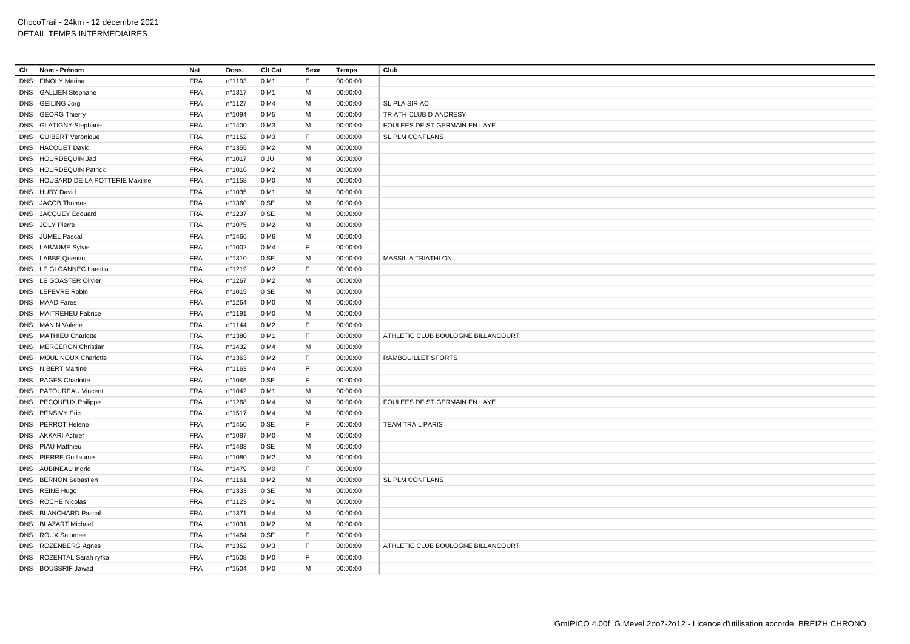| Clt | Nom - Prénom                      | Nat        | Doss.            | Clt Cat          | Sexe | Temps    | Club                               |
|-----|-----------------------------------|------------|------------------|------------------|------|----------|------------------------------------|
|     | DNS FINOLY Marina                 | <b>FRA</b> | n°1193           | 0 M1             | F    | 00:00:00 |                                    |
|     | DNS GALLIEN Stephane              | <b>FRA</b> | n°1317           | 0 M1             | М    | 00:00:00 |                                    |
|     | DNS GEILING Jorg                  | <b>FRA</b> | n°1127           | 0 M4             | M    | 00:00:00 | <b>SL PLAISIR AC</b>               |
|     | DNS GEORG Thierry                 | <b>FRA</b> | n°1094           | 0 M <sub>5</sub> | М    | 00:00:00 | TRIATH'CLUB D'ANDRESY              |
|     | DNS GLATIGNY Stephane             | <b>FRA</b> | nº1400           | 0 M3             | M    | 00:00:00 | FOULEES DE ST GERMAIN EN LAYE      |
|     | DNS GUIBERT Veronique             | <b>FRA</b> | nº1152           | 0 M3             | F    | 00:00:00 | SL PLM CONFLANS                    |
|     | DNS HACQUET David                 | <b>FRA</b> | $n^{\circ}$ 1355 | 0 M2             | M    | 00:00:00 |                                    |
|     | DNS HOURDEQUIN Jad                | <b>FRA</b> | n°1017           | 0 JU             | M    | 00:00:00 |                                    |
|     | DNS HOURDEQUIN Patrick            | <b>FRA</b> | n°1016           | 0 M <sub>2</sub> | M    | 00:00:00 |                                    |
|     | DNS HOUSARD DE LA POTTERIE Maxime | <b>FRA</b> | nº1158           | 0 MO             | М    | 00:00:00 |                                    |
|     | DNS HUBY David                    | <b>FRA</b> | n°1035           | 0 M1             | M    | 00:00:00 |                                    |
|     | DNS JACOB Thomas                  | <b>FRA</b> | nº1360           | 0 SE             | M    | 00:00:00 |                                    |
|     | DNS JACQUEY Edouard               | <b>FRA</b> | n°1237           | 0 SE             | м    | 00:00:00 |                                    |
|     | DNS JOLY Pierre                   | <b>FRA</b> | n°1075           | 0 M <sub>2</sub> | M    | 00:00:00 |                                    |
|     | DNS JUMEL Pascal                  | <b>FRA</b> | n°1466           | 0 M <sub>6</sub> | М    | 00:00:00 |                                    |
|     | DNS LABAUME Sylvie                | <b>FRA</b> | n°1002           | 0 M4             | F    | 00:00:00 |                                    |
|     | DNS LABBE Quentin                 | <b>FRA</b> | nº1310           | 0 SE             | М    | 00:00:00 | <b>MASSILIA TRIATHLON</b>          |
|     | DNS LE GLOANNEC Laetitia          | <b>FRA</b> | n°1219           | 0 M2             | F    | 00:00:00 |                                    |
|     | DNS LE GOASTER Olivier            | <b>FRA</b> | n°1267           | 0 M <sub>2</sub> | М    | 00:00:00 |                                    |
|     | DNS LEFEVRE Robin                 | <b>FRA</b> | $n^{\circ}$ 1015 | 0 SE             | M    | 00:00:00 |                                    |
|     | DNS MAAD Fares                    | <b>FRA</b> | n°1264           | 0 M <sub>0</sub> | M    | 00:00:00 |                                    |
|     | DNS MAITREHEU Fabrice             | <b>FRA</b> | nº1191           | 0 M <sub>0</sub> | M    | 00:00:00 |                                    |
|     | DNS MANIN Valerie                 | <b>FRA</b> | nº1144           | 0 M <sub>2</sub> | F    | 00:00:00 |                                    |
|     | DNS MATHIEU Charlotte             | <b>FRA</b> | n°1380           | 0 M1             | F    | 00:00:00 | ATHLETIC CLUB BOULOGNE BILLANCOURT |
|     | DNS MERCERON Christian            | <b>FRA</b> | n°1432           | 0 M4             | M    | 00:00:00 |                                    |
|     | DNS MOULINOUX Charlotte           | <b>FRA</b> | n°1363           | 0 M2             | F    | 00:00:00 | RAMBOUILLET SPORTS                 |
|     | DNS NIBERT Martine                | <b>FRA</b> | nº1163           | 0 M4             | F    | 00:00:00 |                                    |
|     | DNS PAGES Charlotte               | <b>FRA</b> | $n^{\circ}1045$  | 0 SE             | F    | 00:00:00 |                                    |
|     | DNS PATOUREAU Vincent             | <b>FRA</b> | n°1042           | 0 M1             | M    | 00:00:00 |                                    |
|     | DNS PECQUEUX Philippe             | <b>FRA</b> | n°1268           | 0 M4             | М    | 00:00:00 | FOULEES DE ST GERMAIN EN LAYE      |
|     | DNS PENSIVY Eric                  | <b>FRA</b> | $n^{\circ}$ 1517 | 0 M4             | M    | 00:00:00 |                                    |
|     | DNS PERROT Helene                 | <b>FRA</b> | nº1450           | 0 SE             | F    | 00:00:00 | <b>TEAM TRAIL PARIS</b>            |
|     | DNS AKKARI Achref                 | <b>FRA</b> | n°1087           | 0 M <sub>O</sub> | M    | 00:00:00 |                                    |
|     | DNS PIAU Matthieu                 | <b>FRA</b> | n°1483           | 0 SE             | M    | 00:00:00 |                                    |
|     | DNS PIERRE Guillaume              | <b>FRA</b> | n°1080           | 0 M <sub>2</sub> | M    | 00:00:00 |                                    |
|     | DNS AUBINEAU Ingrid               | <b>FRA</b> | nº1479           | 0 M <sub>0</sub> | F    | 00:00:00 |                                    |
|     | DNS BERNON Sebastien              | <b>FRA</b> | n°1161           | 0 M <sub>2</sub> | M    | 00:00:00 | SL PLM CONFLANS                    |
|     | DNS REINE Hugo                    | FRA        | nº1333           | 0 SE             | M    | 00:00:00 |                                    |
|     | DNS ROCHE Nicolas                 | <b>FRA</b> | nº1123           | 0 M1             | М    | 00:00:00 |                                    |
|     | DNS BLANCHARD Pascal              | <b>FRA</b> | n°1371           | 0 M4             | M    | 00:00:00 |                                    |
|     | DNS BLAZART Michael               | <b>FRA</b> | n°1031           | 0 M2             | М    | 00:00:00 |                                    |
|     | DNS ROUX Salomee                  | <b>FRA</b> | n°1464           | 0 SE             | F    | 00:00:00 |                                    |
|     | DNS ROZENBERG Agnes               | <b>FRA</b> | nº1352           | 0 M3             | F    | 00:00:00 | ATHLETIC CLUB BOULOGNE BILLANCOURT |
|     | DNS ROZENTAL Sarah ryfka          | <b>FRA</b> | n°1508           | 0 M <sub>0</sub> | F    | 00:00:00 |                                    |
|     | DNS BOUSSRIF Jawad                | <b>FRA</b> | n°1504           | 0 MO             | М    | 00:00:00 |                                    |